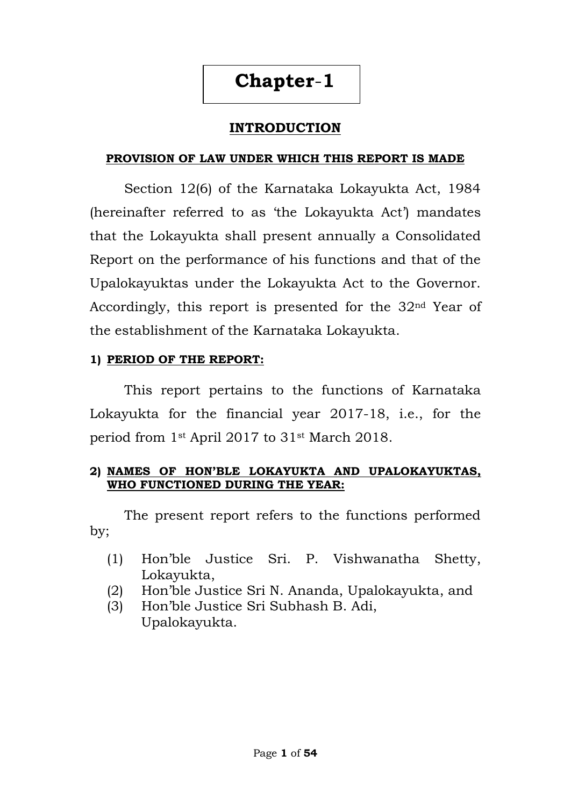## **Chapter**-**1**

## **INTRODUCTION**

#### **PROVISION OF LAW UNDER WHICH THIS REPORT IS MADE**

Section 12(6) of the Karnataka Lokayukta Act, 1984 (hereinafter referred to as 'the Lokayukta Act') mandates that the Lokayukta shall present annually a Consolidated Report on the performance of his functions and that of the Upalokayuktas under the Lokayukta Act to the Governor. Accordingly, this report is presented for the 32nd Year of the establishment of the Karnataka Lokayukta.

#### **1) PERIOD OF THE REPORT:**

This report pertains to the functions of Karnataka Lokayukta for the financial year 2017-18, i.e., for the period from 1st April 2017 to 31st March 2018.

#### **2) NAMES OF HON'BLE LOKAYUKTA AND UPALOKAYUKTAS, WHO FUNCTIONED DURING THE YEAR:**

The present report refers to the functions performed by;

- (1) Hon"ble Justice Sri. P. Vishwanatha Shetty, Lokayukta,
- (2) Hon"ble Justice Sri N. Ananda, Upalokayukta, and
- (3) Hon"ble Justice Sri Subhash B. Adi, Upalokayukta.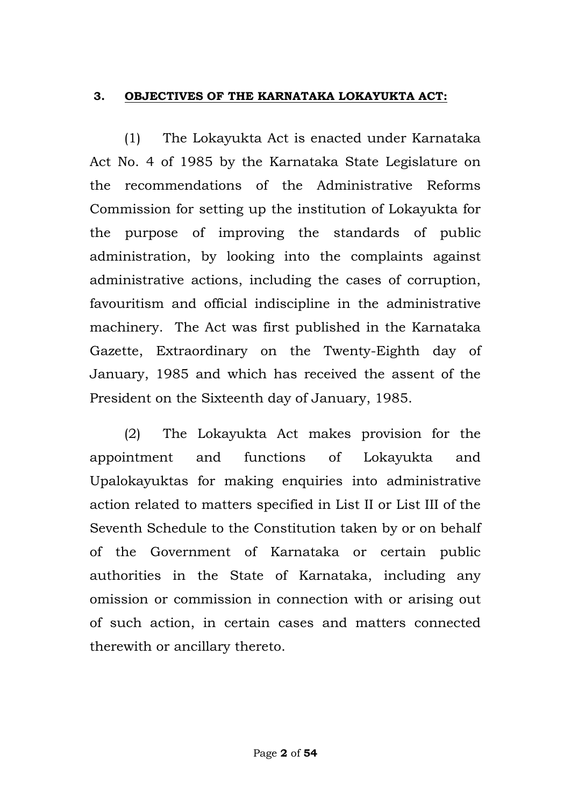### **3. OBJECTIVES OF THE KARNATAKA LOKAYUKTA ACT:**

(1) The Lokayukta Act is enacted under Karnataka Act No. 4 of 1985 by the Karnataka State Legislature on the recommendations of the Administrative Reforms Commission for setting up the institution of Lokayukta for the purpose of improving the standards of public administration, by looking into the complaints against administrative actions, including the cases of corruption, favouritism and official indiscipline in the administrative machinery. The Act was first published in the Karnataka Gazette, Extraordinary on the Twenty-Eighth day of January, 1985 and which has received the assent of the President on the Sixteenth day of January, 1985.

(2) The Lokayukta Act makes provision for the appointment and functions of Lokayukta and Upalokayuktas for making enquiries into administrative action related to matters specified in List II or List III of the Seventh Schedule to the Constitution taken by or on behalf of the Government of Karnataka or certain public authorities in the State of Karnataka, including any omission or commission in connection with or arising out of such action, in certain cases and matters connected therewith or ancillary thereto.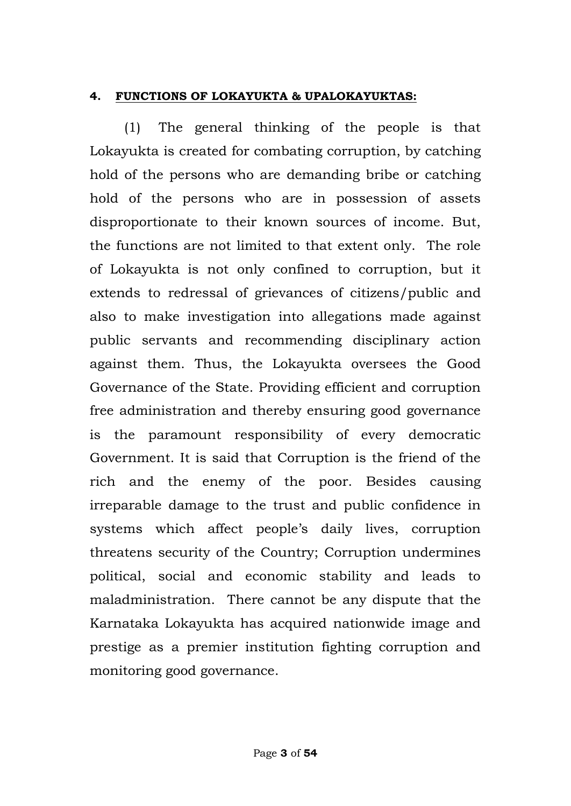### **4. FUNCTIONS OF LOKAYUKTA & UPALOKAYUKTAS:**

(1) The general thinking of the people is that Lokayukta is created for combating corruption, by catching hold of the persons who are demanding bribe or catching hold of the persons who are in possession of assets disproportionate to their known sources of income. But, the functions are not limited to that extent only. The role of Lokayukta is not only confined to corruption, but it extends to redressal of grievances of citizens/public and also to make investigation into allegations made against public servants and recommending disciplinary action against them. Thus, the Lokayukta oversees the Good Governance of the State. Providing efficient and corruption free administration and thereby ensuring good governance is the paramount responsibility of every democratic Government. It is said that Corruption is the friend of the rich and the enemy of the poor. Besides causing irreparable damage to the trust and public confidence in systems which affect people's daily lives, corruption threatens security of the Country; Corruption undermines political, social and economic stability and leads to maladministration. There cannot be any dispute that the Karnataka Lokayukta has acquired nationwide image and prestige as a premier institution fighting corruption and monitoring good governance.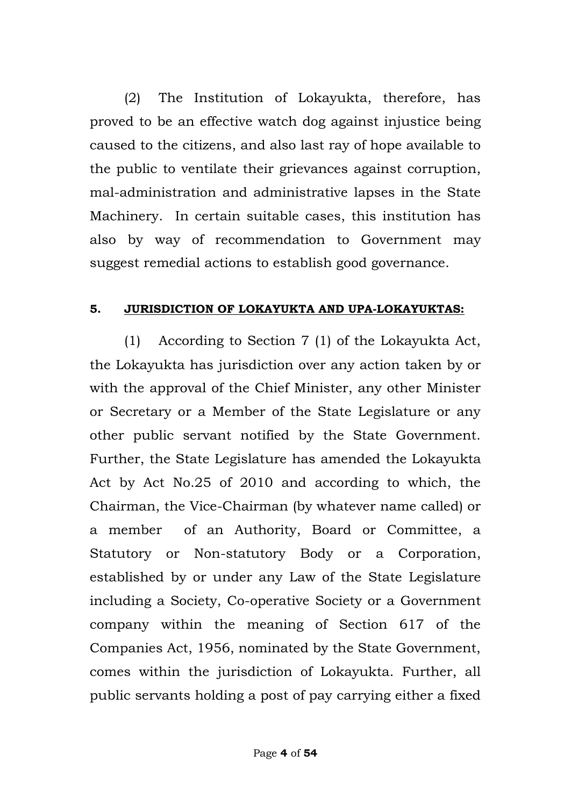(2) The Institution of Lokayukta, therefore, has proved to be an effective watch dog against injustice being caused to the citizens, and also last ray of hope available to the public to ventilate their grievances against corruption, mal-administration and administrative lapses in the State Machinery. In certain suitable cases, this institution has also by way of recommendation to Government may suggest remedial actions to establish good governance.

#### **5. JURISDICTION OF LOKAYUKTA AND UPA-LOKAYUKTAS:**

(1) According to Section 7 (1) of the Lokayukta Act, the Lokayukta has jurisdiction over any action taken by or with the approval of the Chief Minister, any other Minister or Secretary or a Member of the State Legislature or any other public servant notified by the State Government. Further, the State Legislature has amended the Lokayukta Act by Act No.25 of 2010 and according to which, the Chairman, the Vice-Chairman (by whatever name called) or a member of an Authority, Board or Committee, a Statutory or Non-statutory Body or a Corporation, established by or under any Law of the State Legislature including a Society, Co-operative Society or a Government company within the meaning of Section 617 of the Companies Act, 1956, nominated by the State Government, comes within the jurisdiction of Lokayukta. Further, all public servants holding a post of pay carrying either a fixed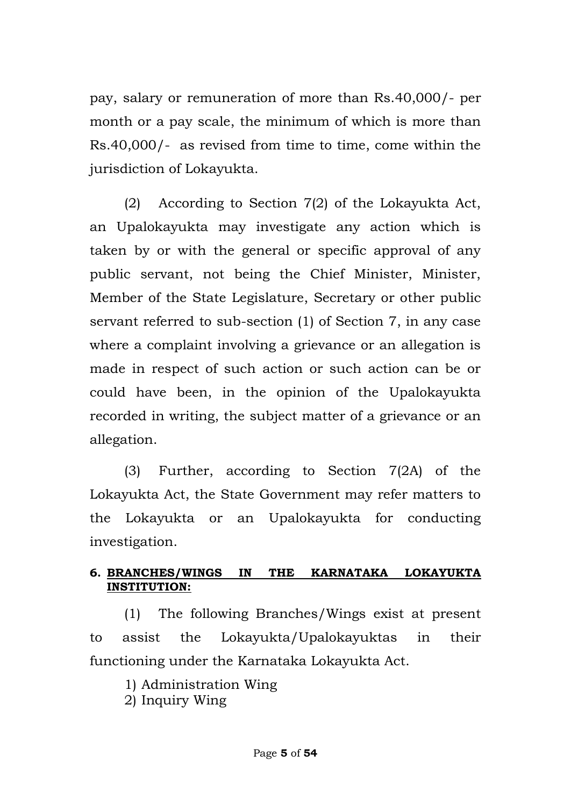pay, salary or remuneration of more than Rs.40,000/- per month or a pay scale, the minimum of which is more than Rs.40,000/- as revised from time to time, come within the jurisdiction of Lokayukta.

(2) According to Section 7(2) of the Lokayukta Act, an Upalokayukta may investigate any action which is taken by or with the general or specific approval of any public servant, not being the Chief Minister, Minister, Member of the State Legislature, Secretary or other public servant referred to sub-section (1) of Section 7, in any case where a complaint involving a grievance or an allegation is made in respect of such action or such action can be or could have been, in the opinion of the Upalokayukta recorded in writing, the subject matter of a grievance or an allegation.

(3) Further, according to Section 7(2A) of the Lokayukta Act, the State Government may refer matters to the Lokayukta or an Upalokayukta for conducting investigation.

## **6. BRANCHES/WINGS IN THE KARNATAKA LOKAYUKTA INSTITUTION:**

(1) The following Branches/Wings exist at present to assist the Lokayukta/Upalokayuktas in their functioning under the Karnataka Lokayukta Act.

1) Administration Wing

2) Inquiry Wing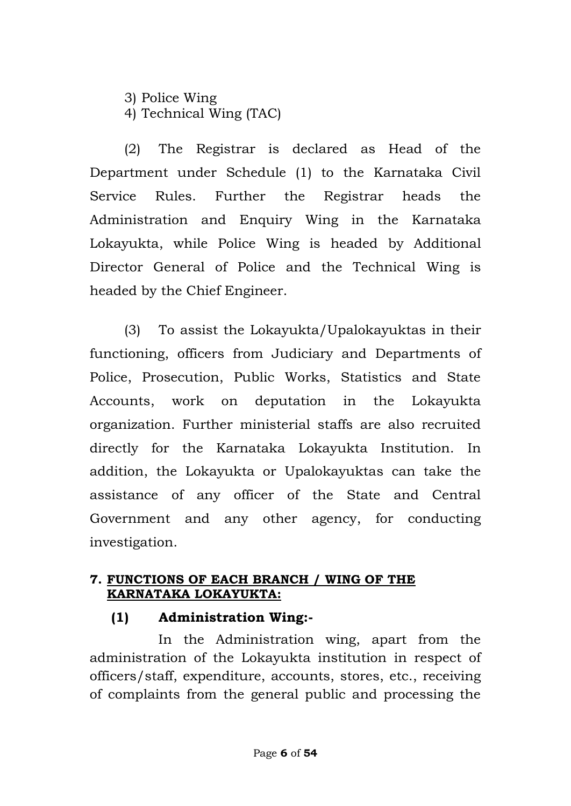3) Police Wing 4) Technical Wing (TAC)

(2) The Registrar is declared as Head of the Department under Schedule (1) to the Karnataka Civil Service Rules. Further the Registrar heads the Administration and Enquiry Wing in the Karnataka Lokayukta, while Police Wing is headed by Additional Director General of Police and the Technical Wing is headed by the Chief Engineer.

(3) To assist the Lokayukta/Upalokayuktas in their functioning, officers from Judiciary and Departments of Police, Prosecution, Public Works, Statistics and State Accounts, work on deputation in the Lokayukta organization. Further ministerial staffs are also recruited directly for the Karnataka Lokayukta Institution. In addition, the Lokayukta or Upalokayuktas can take the assistance of any officer of the State and Central Government and any other agency, for conducting investigation.

### **7. FUNCTIONS OF EACH BRANCH / WING OF THE KARNATAKA LOKAYUKTA:**

## **(1) Administration Wing:-**

 In the Administration wing, apart from the administration of the Lokayukta institution in respect of officers/staff, expenditure, accounts, stores, etc., receiving of complaints from the general public and processing the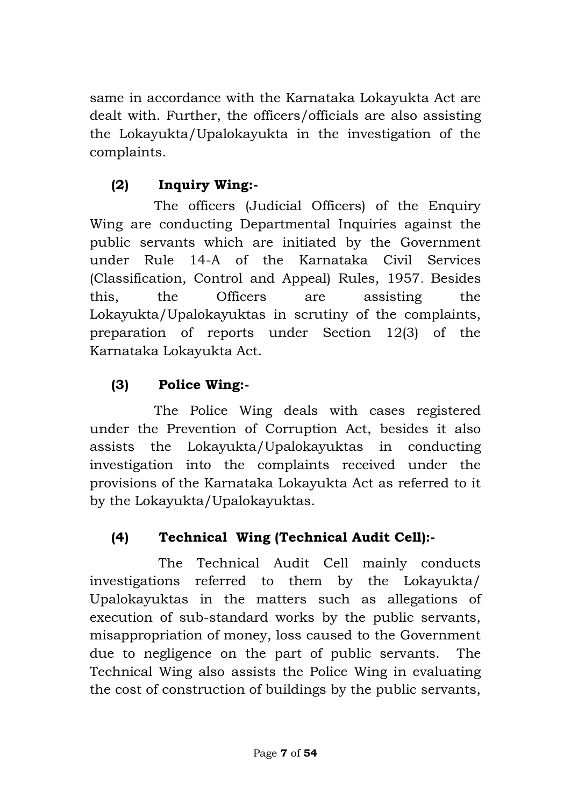same in accordance with the Karnataka Lokayukta Act are dealt with. Further, the officers/officials are also assisting the Lokayukta/Upalokayukta in the investigation of the complaints.

## **(2) Inquiry Wing:-**

 The officers (Judicial Officers) of the Enquiry Wing are conducting Departmental Inquiries against the public servants which are initiated by the Government under Rule 14-A of the Karnataka Civil Services (Classification, Control and Appeal) Rules, 1957. Besides this, the Officers are assisting the Lokayukta/Upalokayuktas in scrutiny of the complaints, preparation of reports under Section 12(3) of the Karnataka Lokayukta Act.

## **(3) Police Wing:-**

 The Police Wing deals with cases registered under the Prevention of Corruption Act, besides it also assists the Lokayukta/Upalokayuktas in conducting investigation into the complaints received under the provisions of the Karnataka Lokayukta Act as referred to it by the Lokayukta/Upalokayuktas.

## **(4) Technical Wing (Technical Audit Cell):-**

 The Technical Audit Cell mainly conducts investigations referred to them by the Lokayukta/ Upalokayuktas in the matters such as allegations of execution of sub-standard works by the public servants, misappropriation of money, loss caused to the Government due to negligence on the part of public servants. The Technical Wing also assists the Police Wing in evaluating the cost of construction of buildings by the public servants,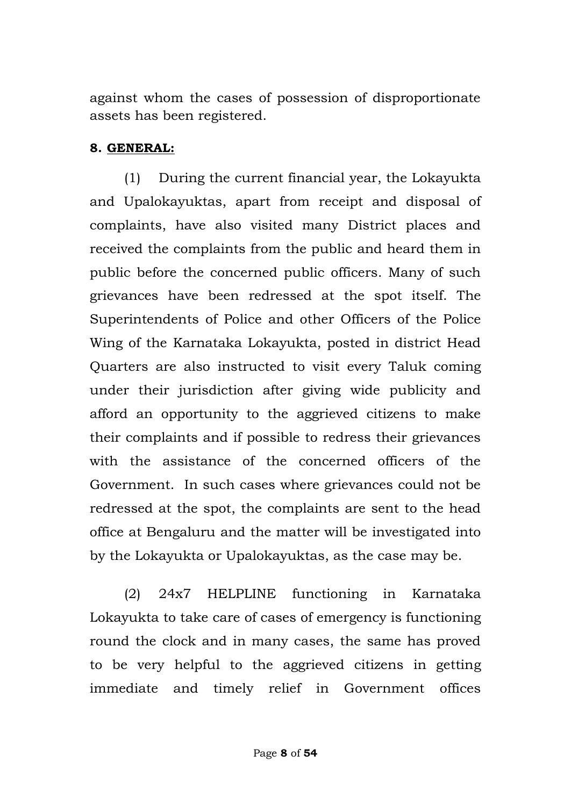against whom the cases of possession of disproportionate assets has been registered.

### **8. GENERAL:**

(1) During the current financial year, the Lokayukta and Upalokayuktas, apart from receipt and disposal of complaints, have also visited many District places and received the complaints from the public and heard them in public before the concerned public officers. Many of such grievances have been redressed at the spot itself. The Superintendents of Police and other Officers of the Police Wing of the Karnataka Lokayukta, posted in district Head Quarters are also instructed to visit every Taluk coming under their jurisdiction after giving wide publicity and afford an opportunity to the aggrieved citizens to make their complaints and if possible to redress their grievances with the assistance of the concerned officers of the Government. In such cases where grievances could not be redressed at the spot, the complaints are sent to the head office at Bengaluru and the matter will be investigated into by the Lokayukta or Upalokayuktas, as the case may be.

(2) 24x7 HELPLINE functioning in Karnataka Lokayukta to take care of cases of emergency is functioning round the clock and in many cases, the same has proved to be very helpful to the aggrieved citizens in getting immediate and timely relief in Government offices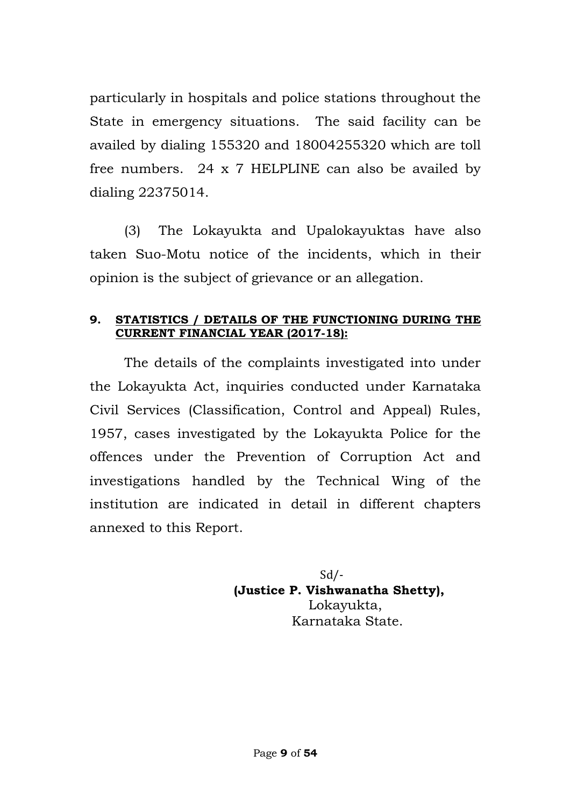particularly in hospitals and police stations throughout the State in emergency situations. The said facility can be availed by dialing 155320 and 18004255320 which are toll free numbers. 24 x 7 HELPLINE can also be availed by dialing 22375014.

(3) The Lokayukta and Upalokayuktas have also taken Suo-Motu notice of the incidents, which in their opinion is the subject of grievance or an allegation.

#### **9. STATISTICS / DETAILS OF THE FUNCTIONING DURING THE CURRENT FINANCIAL YEAR (2017-18):**

The details of the complaints investigated into under the Lokayukta Act, inquiries conducted under Karnataka Civil Services (Classification, Control and Appeal) Rules, 1957, cases investigated by the Lokayukta Police for the offences under the Prevention of Corruption Act and investigations handled by the Technical Wing of the institution are indicated in detail in different chapters annexed to this Report.

 Sd/-  $Sd$ <sup> $\prime$ </sup> **(Justice P. Vishwanatha Shetty),** Lokayukta, Karnataka State.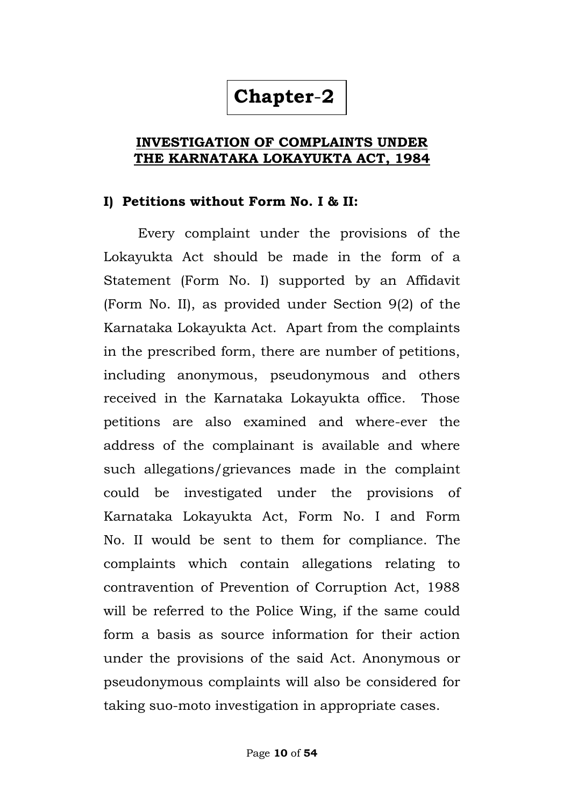## **Chapter**-**2**

### **INVESTIGATION OF COMPLAINTS UNDER THE KARNATAKA LOKAYUKTA ACT, 1984**

#### **I) Petitions without Form No. I & II:**

Every complaint under the provisions of the Lokayukta Act should be made in the form of a Statement (Form No. I) supported by an Affidavit (Form No. II), as provided under Section 9(2) of the Karnataka Lokayukta Act. Apart from the complaints in the prescribed form, there are number of petitions, including anonymous, pseudonymous and others received in the Karnataka Lokayukta office. Those petitions are also examined and where-ever the address of the complainant is available and where such allegations/grievances made in the complaint could be investigated under the provisions of Karnataka Lokayukta Act, Form No. I and Form No. II would be sent to them for compliance. The complaints which contain allegations relating to contravention of Prevention of Corruption Act, 1988 will be referred to the Police Wing, if the same could form a basis as source information for their action under the provisions of the said Act. Anonymous or pseudonymous complaints will also be considered for taking suo-moto investigation in appropriate cases.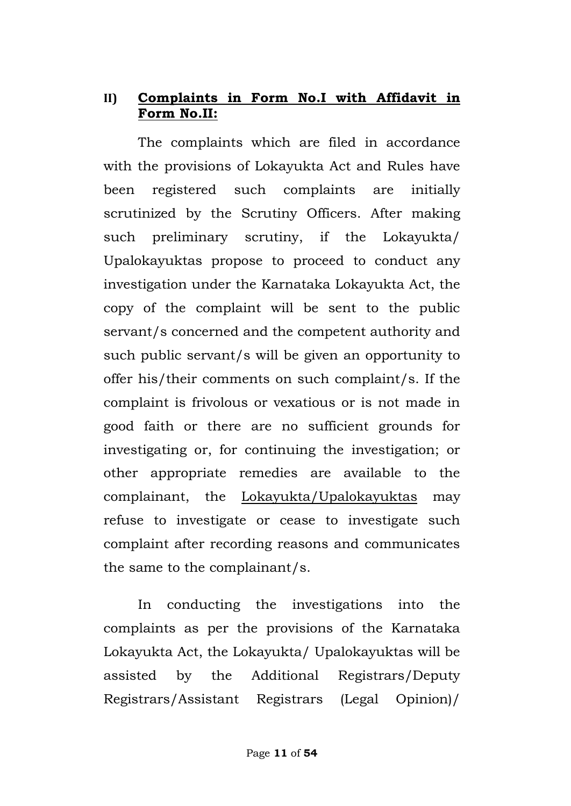## **II) Complaints in Form No.I with Affidavit in Form No.II:**

The complaints which are filed in accordance with the provisions of Lokayukta Act and Rules have been registered such complaints are initially scrutinized by the Scrutiny Officers. After making such preliminary scrutiny, if the Lokayukta/ Upalokayuktas propose to proceed to conduct any investigation under the Karnataka Lokayukta Act, the copy of the complaint will be sent to the public servant/s concerned and the competent authority and such public servant/s will be given an opportunity to offer his/their comments on such complaint/s. If the complaint is frivolous or vexatious or is not made in good faith or there are no sufficient grounds for investigating or, for continuing the investigation; or other appropriate remedies are available to the complainant, the Lokayukta/Upalokayuktas may refuse to investigate or cease to investigate such complaint after recording reasons and communicates the same to the complainant/s.

In conducting the investigations into the complaints as per the provisions of the Karnataka Lokayukta Act, the Lokayukta/ Upalokayuktas will be assisted by the Additional Registrars/Deputy Registrars/Assistant Registrars (Legal Opinion)/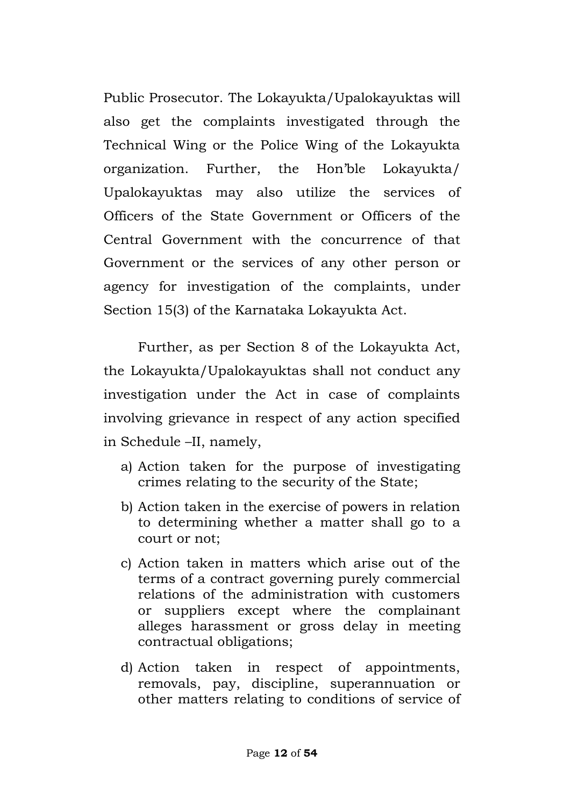Public Prosecutor. The Lokayukta/Upalokayuktas will also get the complaints investigated through the Technical Wing or the Police Wing of the Lokayukta organization. Further, the Hon"ble Lokayukta/ Upalokayuktas may also utilize the services of Officers of the State Government or Officers of the Central Government with the concurrence of that Government or the services of any other person or agency for investigation of the complaints, under Section 15(3) of the Karnataka Lokayukta Act.

Further, as per Section 8 of the Lokayukta Act, the Lokayukta/Upalokayuktas shall not conduct any investigation under the Act in case of complaints involving grievance in respect of any action specified in Schedule –II, namely,

- a) Action taken for the purpose of investigating crimes relating to the security of the State;
- b) Action taken in the exercise of powers in relation to determining whether a matter shall go to a court or not;
- c) Action taken in matters which arise out of the terms of a contract governing purely commercial relations of the administration with customers or suppliers except where the complainant alleges harassment or gross delay in meeting contractual obligations;
- d) Action taken in respect of appointments, removals, pay, discipline, superannuation or other matters relating to conditions of service of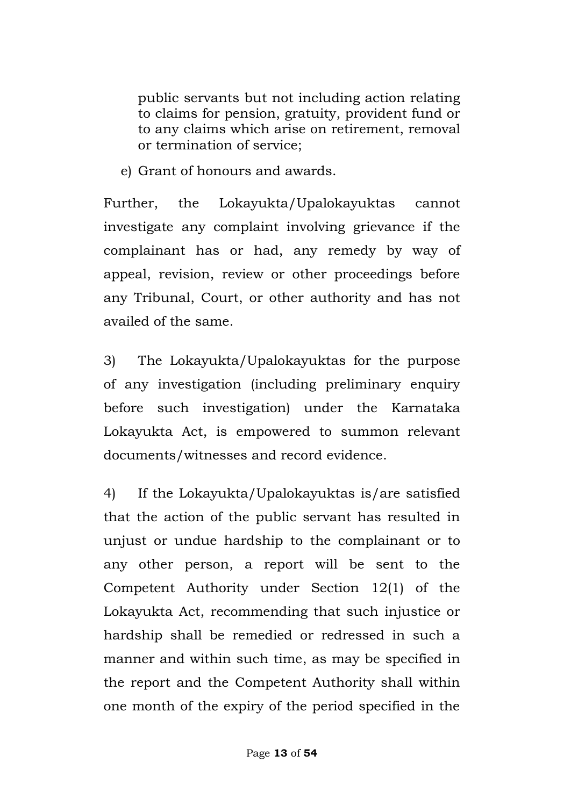public servants but not including action relating to claims for pension, gratuity, provident fund or to any claims which arise on retirement, removal or termination of service;

e) Grant of honours and awards.

Further, the Lokayukta/Upalokayuktas cannot investigate any complaint involving grievance if the complainant has or had, any remedy by way of appeal, revision, review or other proceedings before any Tribunal, Court, or other authority and has not availed of the same.

3) The Lokayukta/Upalokayuktas for the purpose of any investigation (including preliminary enquiry before such investigation) under the Karnataka Lokayukta Act, is empowered to summon relevant documents/witnesses and record evidence.

4) If the Lokayukta/Upalokayuktas is/are satisfied that the action of the public servant has resulted in unjust or undue hardship to the complainant or to any other person, a report will be sent to the Competent Authority under Section 12(1) of the Lokayukta Act, recommending that such injustice or hardship shall be remedied or redressed in such a manner and within such time, as may be specified in the report and the Competent Authority shall within one month of the expiry of the period specified in the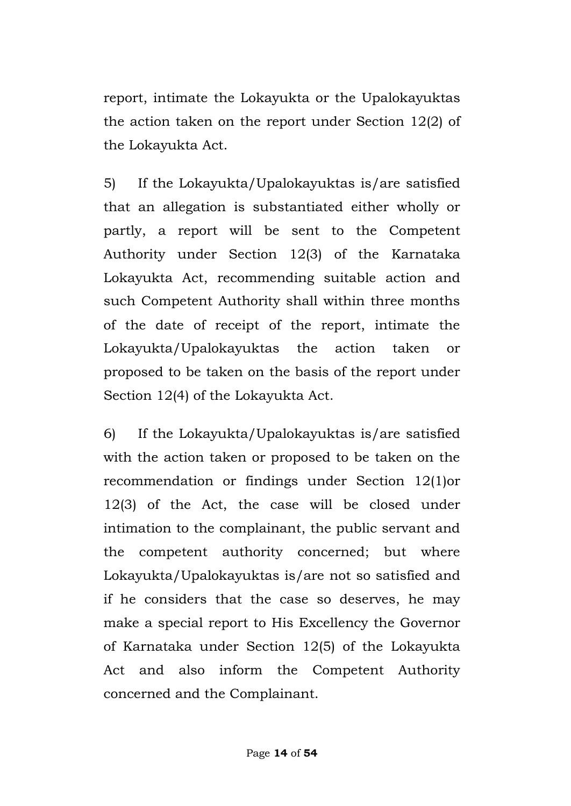report, intimate the Lokayukta or the Upalokayuktas the action taken on the report under Section 12(2) of the Lokayukta Act.

5) If the Lokayukta/Upalokayuktas is/are satisfied that an allegation is substantiated either wholly or partly, a report will be sent to the Competent Authority under Section 12(3) of the Karnataka Lokayukta Act, recommending suitable action and such Competent Authority shall within three months of the date of receipt of the report, intimate the Lokayukta/Upalokayuktas the action taken or proposed to be taken on the basis of the report under Section 12(4) of the Lokayukta Act.

6) If the Lokayukta/Upalokayuktas is/are satisfied with the action taken or proposed to be taken on the recommendation or findings under Section 12(1)or 12(3) of the Act, the case will be closed under intimation to the complainant, the public servant and the competent authority concerned; but where Lokayukta/Upalokayuktas is/are not so satisfied and if he considers that the case so deserves, he may make a special report to His Excellency the Governor of Karnataka under Section 12(5) of the Lokayukta Act and also inform the Competent Authority concerned and the Complainant.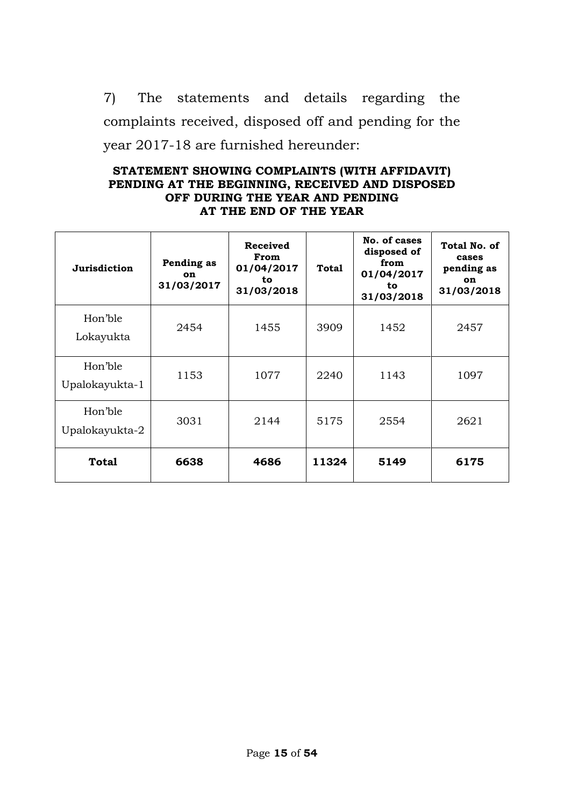7) The statements and details regarding the complaints received, disposed off and pending for the year 2017-18 are furnished hereunder:

#### **STATEMENT SHOWING COMPLAINTS (WITH AFFIDAVIT) PENDING AT THE BEGINNING, RECEIVED AND DISPOSED OFF DURING THE YEAR AND PENDING AT THE END OF THE YEAR**

| Jurisdiction              | Pending as<br><b>on</b><br>31/03/2017 | <b>Received</b><br>From<br>01/04/2017<br>to<br>31/03/2018 | Total | No. of cases<br>disposed of<br>from<br>01/04/2017<br>to<br>31/03/2018 | Total No. of<br>cases<br>pending as<br>on<br>31/03/2018 |
|---------------------------|---------------------------------------|-----------------------------------------------------------|-------|-----------------------------------------------------------------------|---------------------------------------------------------|
| Hon'ble<br>Lokayukta      | 2454                                  | 1455                                                      | 3909  | 1452                                                                  | 2457                                                    |
| Hon'ble<br>Upalokayukta-1 | 1153                                  | 1077                                                      | 2240  | 1143                                                                  | 1097                                                    |
| Hon'ble<br>Upalokayukta-2 | 3031                                  | 2144                                                      | 5175  | 2554                                                                  | 2621                                                    |
| <b>Total</b>              | 6638                                  | 4686                                                      | 11324 | 5149                                                                  | 6175                                                    |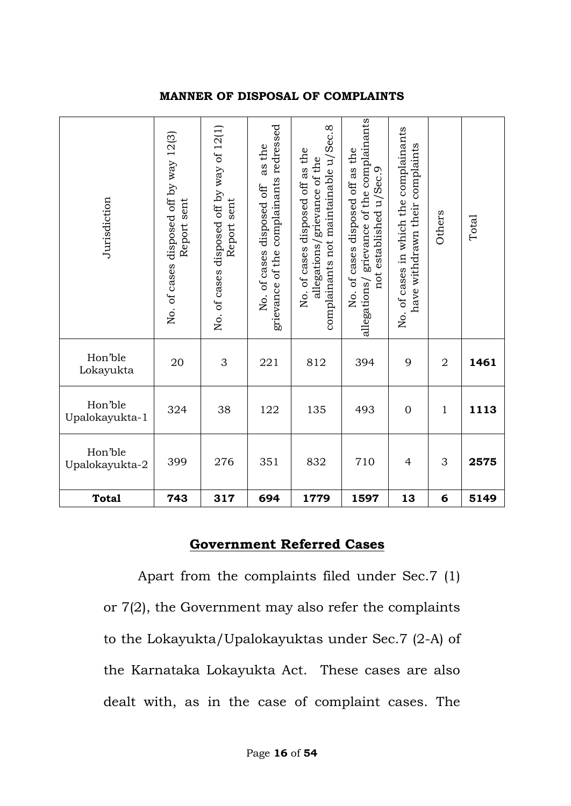#### **MANNER OF DISPOSAL OF COMPLAINTS**

| Jurisdiction              | No. of cases disposed off by way 12(3)<br>Report sent | No. of cases disposed off by way of 12(1)<br>Report sent | complainants redressed<br>as the<br>No. of cases disposed off<br>grievance of the | complainants not maintainable u/Sec.8<br>No. of cases disposed off as the<br>allegations/grievance of the | grievance of the complainants<br>No. of cases disposed off as the<br>u/Sec.9<br>not established<br>allegations/ | No. of cases in which the complainants<br>complaints<br>have withdrawn their | Others         | Total |
|---------------------------|-------------------------------------------------------|----------------------------------------------------------|-----------------------------------------------------------------------------------|-----------------------------------------------------------------------------------------------------------|-----------------------------------------------------------------------------------------------------------------|------------------------------------------------------------------------------|----------------|-------|
| Hon'ble<br>Lokayukta      | 20                                                    | 3                                                        | 221                                                                               | 812                                                                                                       | 394                                                                                                             | 9                                                                            | $\overline{2}$ | 1461  |
| Hon'ble<br>Upalokayukta-1 | 324                                                   | 38                                                       | 122                                                                               | 135                                                                                                       | 493                                                                                                             | $\overline{0}$                                                               | $\mathbf{1}$   | 1113  |
| Hon'ble<br>Upalokayukta-2 | 399                                                   | 276                                                      | 351                                                                               | 832                                                                                                       | 710                                                                                                             | $\overline{4}$                                                               | 3              | 2575  |
| <b>Total</b>              | 743                                                   | 317                                                      | 694                                                                               | 1779                                                                                                      | 1597                                                                                                            | 13                                                                           | 6              | 5149  |

### **Government Referred Cases**

Apart from the complaints filed under Sec.7 (1) or 7(2), the Government may also refer the complaints to the Lokayukta/Upalokayuktas under Sec.7 (2-A) of the Karnataka Lokayukta Act. These cases are also dealt with, as in the case of complaint cases. The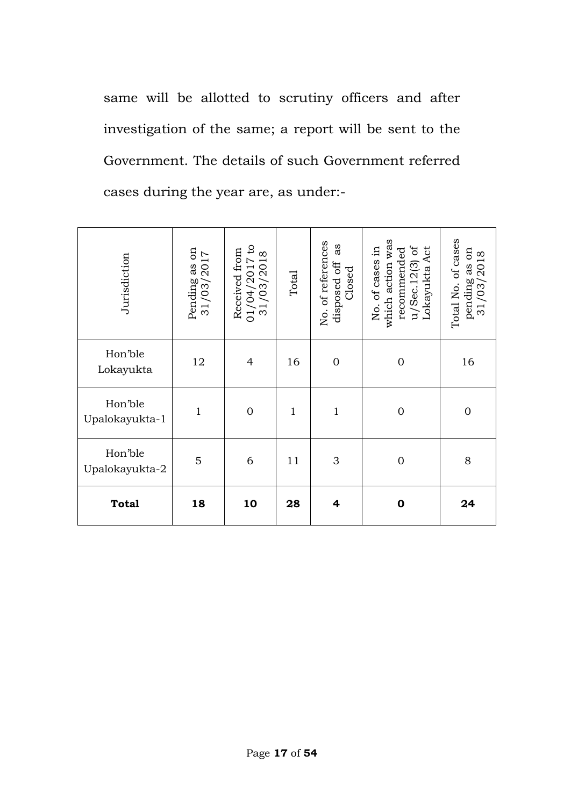same will be allotted to scrutiny officers and after investigation of the same; a report will be sent to the Government. The details of such Government referred cases during the year are, as under:-

| Jurisdiction              | Pending as on $31/03/2017$ | $\mathbf{c}$<br>Received from<br>$\infty$<br>01/04/2017<br>31/03/2018 | Total        | No. of references<br>as<br>disposed off<br>Closed | which action was<br>u/Sec.12(3) of<br>Lokayukta Act<br>No. of cases in<br>recommended | Total No. of cases<br>50<br>pending as on<br>$31/03/2018$ |
|---------------------------|----------------------------|-----------------------------------------------------------------------|--------------|---------------------------------------------------|---------------------------------------------------------------------------------------|-----------------------------------------------------------|
| Hon'ble<br>Lokayukta      | 12                         | $\overline{4}$                                                        | 16           | $\mathbf 0$                                       | $\mathbf 0$                                                                           | 16                                                        |
| Hon'ble<br>Upalokayukta-1 | $\mathbf{1}$               | $\overline{0}$                                                        | $\mathbf{1}$ | $\mathbf{1}$                                      | $\mathbf{0}$                                                                          | $\overline{0}$                                            |
| Hon'ble<br>Upalokayukta-2 | 5                          | 6                                                                     | 11           | 3                                                 | $\mathbf 0$                                                                           | 8                                                         |
| <b>Total</b>              | 18                         | 10                                                                    | 28           | 4                                                 | $\mathbf 0$                                                                           | 24                                                        |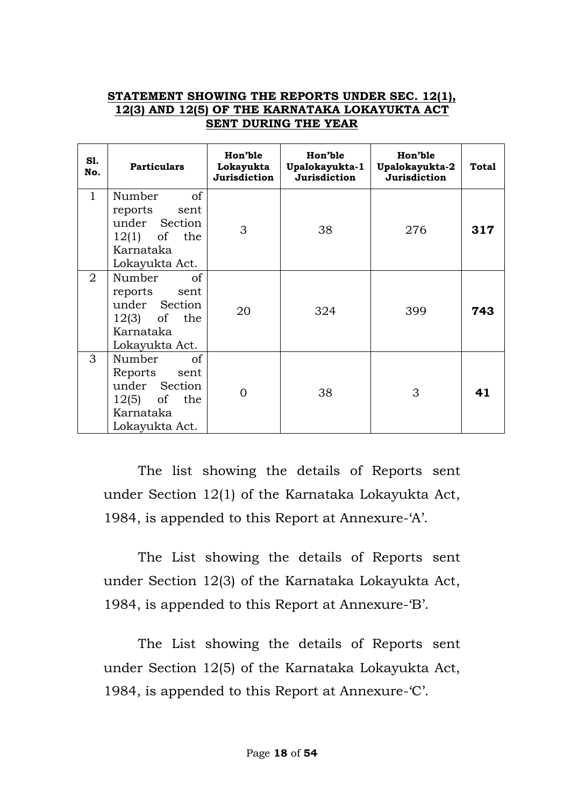#### **STATEMENT SHOWING THE REPORTS UNDER SEC. 12(1), 12(3) AND 12(5) OF THE KARNATAKA LOKAYUKTA ACT SENT DURING THE YEAR**

| S1.<br>No.     | <b>Particulars</b>                                                                                        | Hon'ble<br>Lokayukta<br>Jurisdiction | Hon'ble<br>Upalokayukta-1<br>Jurisdiction | Hon'ble<br>Upalokayukta-2<br>Jurisdiction | <b>Total</b> |
|----------------|-----------------------------------------------------------------------------------------------------------|--------------------------------------|-------------------------------------------|-------------------------------------------|--------------|
| $\mathbf{1}$   | of<br>Number<br>reports<br>sent<br>under Section<br>$12(1)$ of the<br>Karnataka<br>Lokayukta Act.         | 3                                    | 38                                        | 276                                       | 317          |
| $\overline{2}$ | <sub>of</sub><br>Number<br>reports sent<br>under Section<br>$12(3)$ of the<br>Karnataka<br>Lokayukta Act. | 20                                   | 324                                       | 399                                       | 743          |
| 3              | Number<br>of<br>Reports sent<br>under Section<br>$12(5)$ of the<br>Karnataka<br>Lokayukta Act.            |                                      | 38                                        | 3                                         | 41           |

The list showing the details of Reports sent under Section 12(1) of the Karnataka Lokayukta Act, 1984, is appended to this Report at Annexure-'A'.

The List showing the details of Reports sent under Section 12(3) of the Karnataka Lokayukta Act, 1984, is appended to this Report at Annexure-'B'.

The List showing the details of Reports sent under Section 12(5) of the Karnataka Lokayukta Act, 1984, is appended to this Report at Annexure-'C'.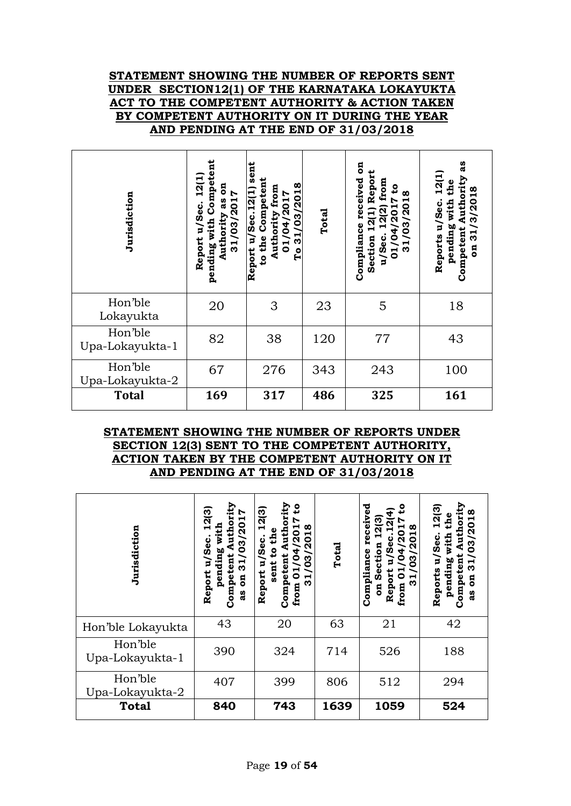#### **STATEMENT SHOWING THE NUMBER OF REPORTS SENT UNDER SECTION12(1) OF THE KARNATAKA LOKAYUKTA ACT TO THE COMPETENT AUTHORITY & ACTION TAKEN BY COMPETENT AUTHORITY ON IT DURING THE YEAR AND PENDING AT THE END OF 31/03/2018**

| Jurisdiction               | Competent<br>12(1<br>5<br>7017<br>3g<br>ပ္ၿ<br>บั∕ธั<br>pending with<br>(63)<br><b>Authorit</b><br>Report<br>$\overline{1}$ | sent<br>to the Competent<br>/03/2018<br>Authority from<br>Report u/Sec.12(1)<br>01/04/2017<br>$\frac{1}{3}$<br>СO | Total | ទី<br>Repor<br>received<br>from<br>٥,<br>œ<br>/20<br><u>ัด</u><br>12(1)<br>ဗိ<br>Compliance<br>Section<br>u/Sec.<br>$\overline{3}1$<br>$\overline{1}$ | 3g<br>12(1<br>Authority<br>the<br>31/3/2018<br>pending with<br>Reports u/Sec.<br>Competent<br>$\overline{5}$ |
|----------------------------|-----------------------------------------------------------------------------------------------------------------------------|-------------------------------------------------------------------------------------------------------------------|-------|-------------------------------------------------------------------------------------------------------------------------------------------------------|--------------------------------------------------------------------------------------------------------------|
| Hon'ble<br>Lokayukta       | 20                                                                                                                          | 3                                                                                                                 | 23    | 5                                                                                                                                                     | 18                                                                                                           |
| Hon'ble<br>Upa-Lokayukta-1 | 82                                                                                                                          | 38                                                                                                                | 120   | 77                                                                                                                                                    | 43                                                                                                           |
| Hon'ble<br>Upa-Lokayukta-2 | 67                                                                                                                          | 276                                                                                                               | 343   | 243                                                                                                                                                   | 100                                                                                                          |
| <b>Total</b>               | 169                                                                                                                         | 317                                                                                                               | 486   | 325                                                                                                                                                   | 161                                                                                                          |

#### **STATEMENT SHOWING THE NUMBER OF REPORTS UNDER SECTION 12(3) SENT TO THE COMPETENT AUTHORITY, ACTION TAKEN BY THE COMPETENT AUTHORITY ON IT AND PENDING AT THE END OF 31/03/2018**

| Jurisdiction               | Authority<br>12(3)<br>31/03/2017<br>with<br>း<br>၁၉<br>pending<br>Competent<br>p<br>Report<br>$\overline{a}$<br>as<br>a | ority<br>೭<br>12(3)<br>œ<br>႙<br>H<br>Ě<br>/Sec.<br>$\overline{a}$<br><u>ទ</u><br>က<br>Ē<br>sent<br>0<br>5<br>Report<br>Compet<br>ო<br>from | Total | ಕ<br>۵<br>$\dot{\text{e}}$<br>ထ<br>Ō<br>ω<br>ន្ត<br>8<br>ω<br>Complianc<br>Ë<br>ო<br>∍<br>ق<br>م<br>Report<br>0<br>ო<br>from<br>$\overline{a}$ | Authority<br>12(3)<br>03/2018<br>the<br>with<br>u/Sec.<br>Competent<br>$\frac{31}{3}$<br>pending<br>Reports<br>$\overline{a}$<br>as |
|----------------------------|-------------------------------------------------------------------------------------------------------------------------|---------------------------------------------------------------------------------------------------------------------------------------------|-------|------------------------------------------------------------------------------------------------------------------------------------------------|-------------------------------------------------------------------------------------------------------------------------------------|
| Hon'ble Lokayukta          | 43                                                                                                                      | 20                                                                                                                                          | 63    | 21                                                                                                                                             | 42                                                                                                                                  |
| Hon'ble<br>Upa-Lokayukta-1 | 390                                                                                                                     | 324                                                                                                                                         | 714   | 526                                                                                                                                            | 188                                                                                                                                 |
| Hon'ble<br>Upa-Lokayukta-2 | 407                                                                                                                     | 399                                                                                                                                         | 806   | 512                                                                                                                                            | 294                                                                                                                                 |
| <b>Total</b>               | 840                                                                                                                     | 743                                                                                                                                         | 1639  | 1059                                                                                                                                           | 524                                                                                                                                 |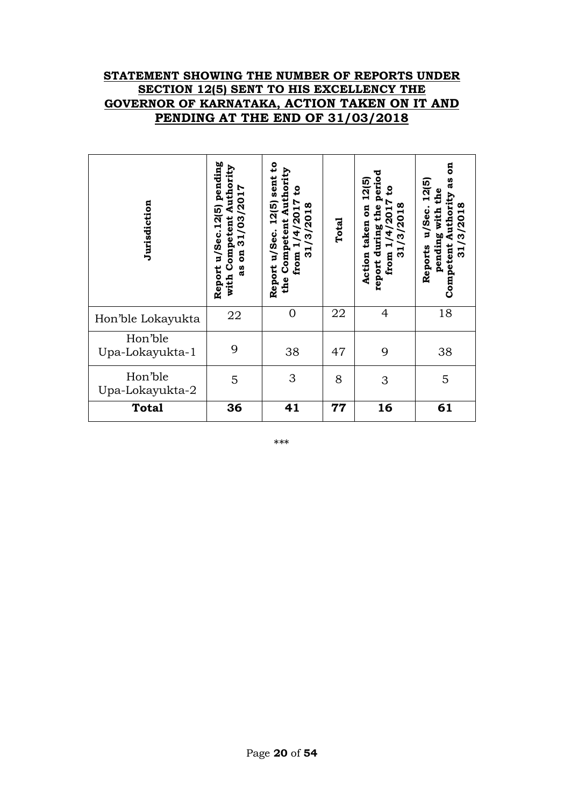#### **STATEMENT SHOWING THE NUMBER OF REPORTS UNDER SECTION 12(5) SENT TO HIS EXCELLENCY THE GOVERNOR OF KARNATAKA, ACTION TAKEN ON IT AND PENDING AT THE END OF 31/03/2018**

| Jurisdiction               | pending<br>with Competent Authority<br>31/03/2017<br>Report u/Sec.12(5)<br>$\mathbf{g}$<br>as | $\mathbf{c}$<br>Authority<br>sent<br>ರಿ<br>12(5)<br>from $1/4/2017$<br>31/3/2018<br>Competent<br>Report u/Sec.<br>the | Total | period<br>12(5)<br>٥,<br>31/3/2018<br><b>DO</b><br>the<br><b>ZO1</b><br>taken<br>report during<br>4<br>$\blacksquare$<br>from<br>Action | ã<br>as<br>12(5)<br>pending with the<br>Competent Authority<br>31/3/2018<br>u/Sec.<br>Reports |
|----------------------------|-----------------------------------------------------------------------------------------------|-----------------------------------------------------------------------------------------------------------------------|-------|-----------------------------------------------------------------------------------------------------------------------------------------|-----------------------------------------------------------------------------------------------|
| Hon'ble Lokayukta          | 22                                                                                            | $\overline{0}$                                                                                                        | 22    | 4                                                                                                                                       | 18                                                                                            |
| Hon'ble<br>Upa-Lokayukta-1 | 9                                                                                             | 38                                                                                                                    | 47    | 9                                                                                                                                       | 38                                                                                            |
| Hon'ble<br>Upa-Lokayukta-2 | 5                                                                                             | 3                                                                                                                     | 8     | 3                                                                                                                                       | 5                                                                                             |
| <b>Total</b>               | 36                                                                                            | 41                                                                                                                    | 77    | 16                                                                                                                                      | 61                                                                                            |

\*\*\*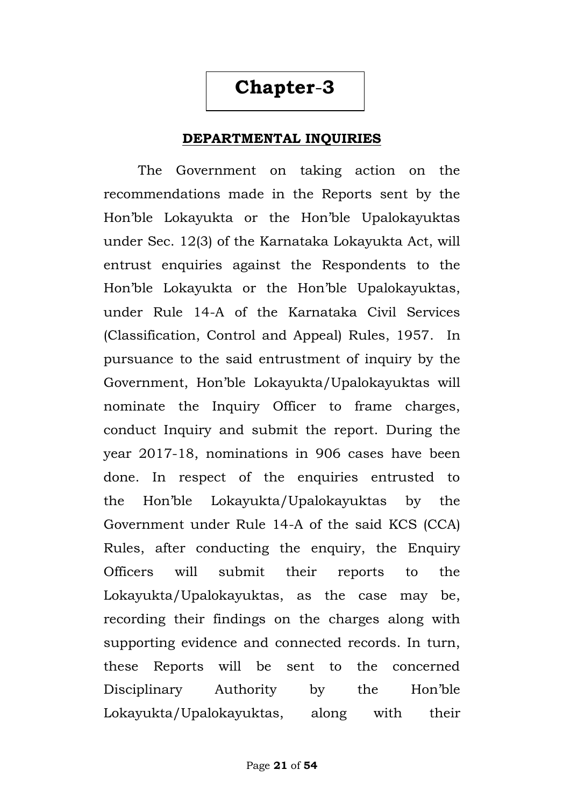## **Chapter**-**3**

#### **DEPARTMENTAL INQUIRIES**

The Government on taking action on the recommendations made in the Reports sent by the Hon"ble Lokayukta or the Hon"ble Upalokayuktas under Sec. 12(3) of the Karnataka Lokayukta Act, will entrust enquiries against the Respondents to the Hon"ble Lokayukta or the Hon"ble Upalokayuktas, under Rule 14-A of the Karnataka Civil Services (Classification, Control and Appeal) Rules, 1957. In pursuance to the said entrustment of inquiry by the Government, Hon"ble Lokayukta/Upalokayuktas will nominate the Inquiry Officer to frame charges, conduct Inquiry and submit the report. During the year 2017-18, nominations in 906 cases have been done. In respect of the enquiries entrusted to the Hon"ble Lokayukta/Upalokayuktas by the Government under Rule 14-A of the said KCS (CCA) Rules, after conducting the enquiry, the Enquiry Officers will submit their reports to the Lokayukta/Upalokayuktas, as the case may be, recording their findings on the charges along with supporting evidence and connected records. In turn, these Reports will be sent to the concerned Disciplinary Authority by the Hon"ble Lokayukta/Upalokayuktas, along with their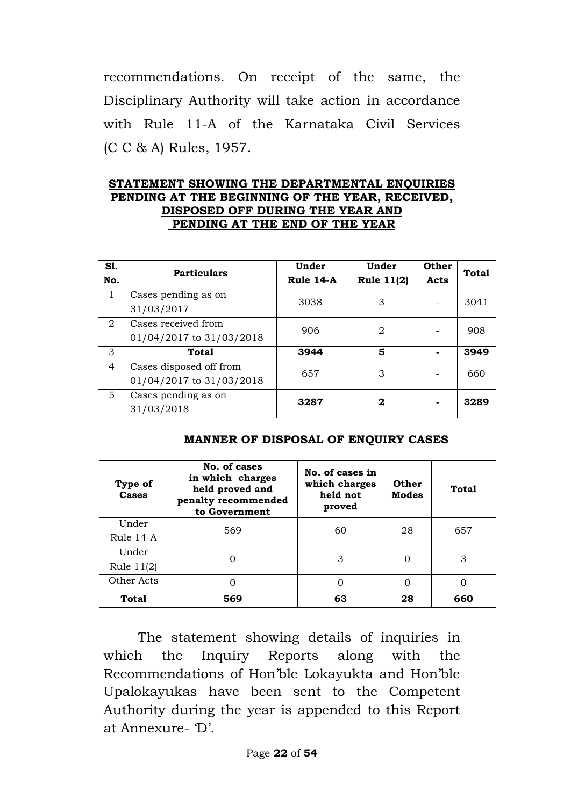recommendations. On receipt of the same, the Disciplinary Authority will take action in accordance with Rule 11-A of the Karnataka Civil Services (C C & A) Rules, 1957.

#### **STATEMENT SHOWING THE DEPARTMENTAL ENQUIRIES PENDING AT THE BEGINNING OF THE YEAR, RECEIVED, DISPOSED OFF DURING THE YEAR AND PENDING AT THE END OF THE YEAR**

| S1.<br>No.     | <b>Particulars</b>                                  | Under<br>Rule 14-A | Under<br><b>Rule 11(2)</b> | Other<br>Acts | <b>Total</b> |
|----------------|-----------------------------------------------------|--------------------|----------------------------|---------------|--------------|
| 1              | Cases pending as on<br>31/03/2017                   | 3038               | 3                          |               | 3041         |
| 2              | Cases received from<br>01/04/2017 to 31/03/2018     | 906                | 2                          |               | 908          |
| 3              | <b>Total</b>                                        | 3944               | 5                          |               | 3949         |
| $\overline{4}$ | Cases disposed off from<br>01/04/2017 to 31/03/2018 | 657                | 3                          |               | 660          |
| $\overline{5}$ | Cases pending as on<br>31/03/2018                   | 3287               | 2                          |               | 3289         |

#### **MANNER OF DISPOSAL OF ENQUIRY CASES**

| Type of<br>Cases      | No. of cases<br>in which charges<br>held proved and<br>penalty recommended<br>to Government | No. of cases in<br>which charges<br>held not<br>proved | Other<br><b>Modes</b> | Total |
|-----------------------|---------------------------------------------------------------------------------------------|--------------------------------------------------------|-----------------------|-------|
| Under<br>Rule 14-A    | 569                                                                                         | 60                                                     | 28                    | 657   |
| Under<br>Rule $11(2)$ |                                                                                             | 3                                                      |                       | 3     |
| Other Acts            |                                                                                             | ∩                                                      | $\Omega$              | ∩     |
| Total                 | 569                                                                                         | 63                                                     | 28                    | 660   |

The statement showing details of inquiries in which the Inquiry Reports along with the Recommendations of Hon"ble Lokayukta and Hon"ble Upalokayukas have been sent to the Competent Authority during the year is appended to this Report at Annexure- "D".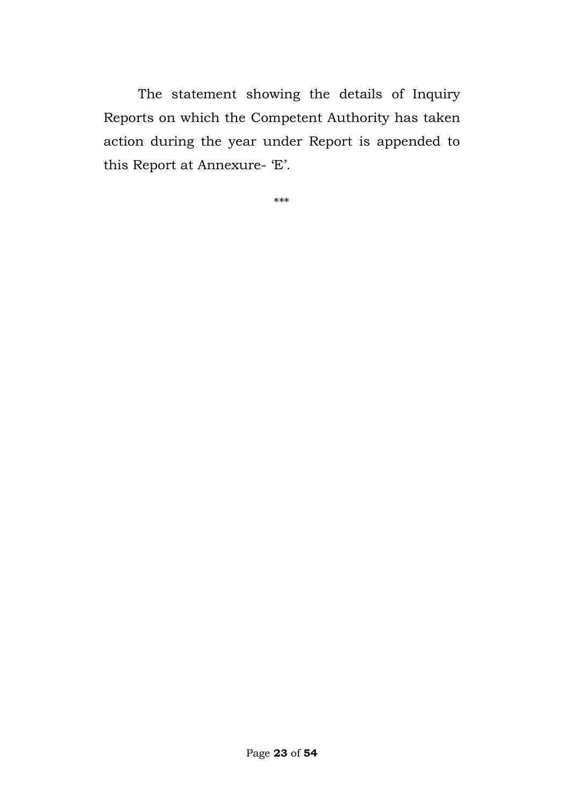The statement showing the details of Inquiry Reports on which the Competent Authority has taken action during the year under Report is appended to this Report at Annexure- 'E'.

\*\*\*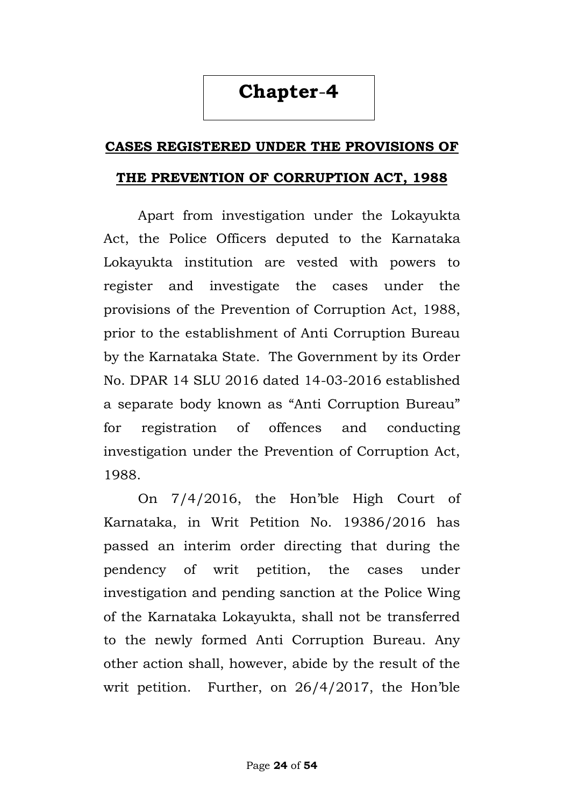## **Chapter**-**4**

#### **CASES REGISTERED UNDER THE PROVISIONS OF**

#### **THE PREVENTION OF CORRUPTION ACT, 1988**

Apart from investigation under the Lokayukta Act, the Police Officers deputed to the Karnataka Lokayukta institution are vested with powers to register and investigate the cases under the provisions of the Prevention of Corruption Act, 1988, prior to the establishment of Anti Corruption Bureau by the Karnataka State. The Government by its Order No. DPAR 14 SLU 2016 dated 14-03-2016 established a separate body known as "Anti Corruption Bureau" for registration of offences and conducting investigation under the Prevention of Corruption Act, 1988.

On 7/4/2016, the Hon"ble High Court of Karnataka, in Writ Petition No. 19386/2016 has passed an interim order directing that during the pendency of writ petition, the cases under investigation and pending sanction at the Police Wing of the Karnataka Lokayukta, shall not be transferred to the newly formed Anti Corruption Bureau. Any other action shall, however, abide by the result of the writ petition. Further, on 26/4/2017, the Hon"ble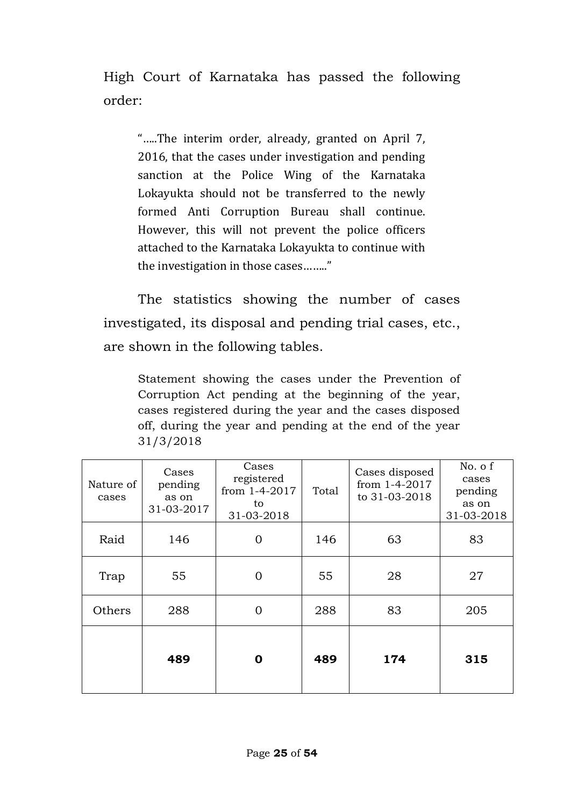High Court of Karnataka has passed the following order:

"…..The interim order, already, granted on April 7, 2016, that the cases under investigation and pending sanction at the Police Wing of the Karnataka Lokayukta should not be transferred to the newly formed Anti Corruption Bureau shall continue. However, this will not prevent the police officers attached to the Karnataka Lokayukta to continue with the investigation in those cases…….."

The statistics showing the number of cases investigated, its disposal and pending trial cases, etc., are shown in the following tables.

Statement showing the cases under the Prevention of Corruption Act pending at the beginning of the year, cases registered during the year and the cases disposed off, during the year and pending at the end of the year 31/3/2018

| Nature of<br>cases | Cases<br>pending<br>as on<br>31-03-2017 | Cases<br>registered<br>from 1-4-2017<br>to<br>31-03-2018 | Total | Cases disposed<br>from 1-4-2017<br>to 31-03-2018 | No. o f<br>cases<br>pending<br>as on<br>31-03-2018 |
|--------------------|-----------------------------------------|----------------------------------------------------------|-------|--------------------------------------------------|----------------------------------------------------|
| Raid               | 146                                     | $\overline{0}$                                           | 146   | 63                                               | 83                                                 |
| Trap               | 55                                      | $\overline{0}$                                           | 55    | 28                                               | 27                                                 |
| Others             | 288                                     | $\overline{0}$                                           | 288   | 83                                               | 205                                                |
|                    | 489                                     | Ω                                                        | 489   | 174                                              | 315                                                |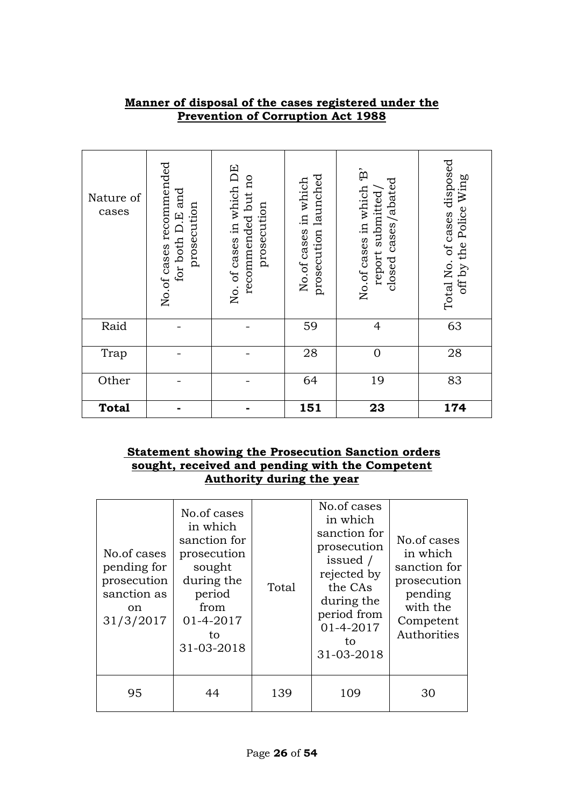| Nature of<br>cases | No.of cases recommended<br>for both D.E and<br>prosecution | No. of cases in which DE<br>recommended but no<br>prosecution | prosecution launched<br>No.of cases in which | $\mathbf{\hat{B}}$<br>closed cases/abated<br>No.of cases in which<br>report submitted/ | Total No. of cases disposed<br>off by the Police Wing |
|--------------------|------------------------------------------------------------|---------------------------------------------------------------|----------------------------------------------|----------------------------------------------------------------------------------------|-------------------------------------------------------|
| Raid               |                                                            |                                                               | 59                                           | $\overline{4}$                                                                         | 63                                                    |
| Trap               |                                                            |                                                               | 28                                           | $\mathbf 0$                                                                            | 28                                                    |
| Other              |                                                            |                                                               | 64                                           | 19                                                                                     | 83                                                    |
| <b>Total</b>       |                                                            |                                                               | 151                                          | 23                                                                                     | 174                                                   |

#### **Manner of disposal of the cases registered under the Prevention of Corruption Act 1988**

#### **Statement showing the Prosecution Sanction orders sought, received and pending with the Competent Authority during the year**

| No.of cases<br>pending for<br>prosecution<br>sanction as<br><sub>on</sub><br>31/3/2017 | No.of cases<br>in which<br>sanction for<br>prosecution<br>sought<br>during the<br>period<br>from<br>01-4-2017<br>to<br>31-03-2018 | Total | No.of cases<br>in which<br>sanction for<br>prosecution<br>issued /<br>rejected by<br>the CAs<br>during the<br>period from<br>01-4-2017<br>to<br>31-03-2018 | No.of cases<br>in which<br>sanction for<br>prosecution<br>pending<br>with the<br>Competent<br>Authorities |
|----------------------------------------------------------------------------------------|-----------------------------------------------------------------------------------------------------------------------------------|-------|------------------------------------------------------------------------------------------------------------------------------------------------------------|-----------------------------------------------------------------------------------------------------------|
| 95                                                                                     | 44                                                                                                                                | 139   | 109                                                                                                                                                        | 30                                                                                                        |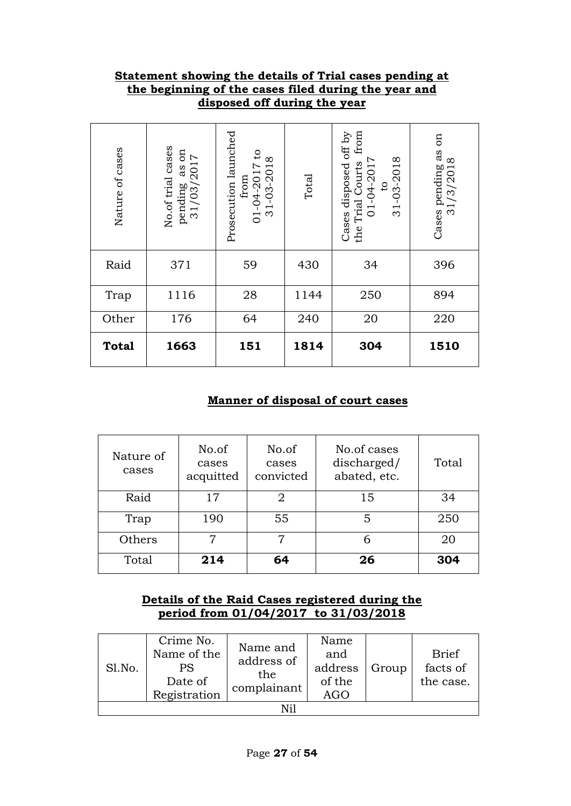#### **Statement showing the details of Trial cases pending at the beginning of the cases filed during the year and disposed off during the year**

| Nature of cases | No.of trial cases<br>$\mathfrak{g}$<br>pending as on<br>$31/03/2017$ | Prosecution launched<br>$\mathsf{c}_1$<br>31-03-2018<br>01-04-2017<br>from | Total | from<br>Cases disposed off by<br>31-03-2018<br>the Trial Courts<br>01-04-2017<br>$\mathbf{c}$ | S<br>Cases pending as<br>31/3/2018 |
|-----------------|----------------------------------------------------------------------|----------------------------------------------------------------------------|-------|-----------------------------------------------------------------------------------------------|------------------------------------|
| Raid            | 371                                                                  | 59                                                                         | 430   | 34                                                                                            | 396                                |
| Trap            | 1116                                                                 | 28                                                                         | 1144  | 250                                                                                           | 894                                |
| Other           | 176                                                                  | 64                                                                         | 240   | 20                                                                                            | 220                                |
| <b>Total</b>    | 1663                                                                 | 151                                                                        | 1814  | 304                                                                                           | 1510                               |

#### **Manner of disposal of court cases**

| Nature of<br>cases | No.of<br>cases<br>acquitted | No.of<br>cases<br>convicted | No.of cases<br>discharged/<br>abated, etc. | Total |
|--------------------|-----------------------------|-----------------------------|--------------------------------------------|-------|
| Raid               | 17                          | 2                           | 15                                         | 34    |
| Trap               | 190                         | 55                          | 5                                          | 250   |
| Others             | 7                           | 7                           | 6                                          | 20    |
| Total              | 214                         | 64<br>26                    |                                            | 304   |

#### **Details of the Raid Cases registered during the period from 01/04/2017 to 31/03/2018**

| Sl.No. | Crime No.<br>Name of the<br>PS<br>Date of<br>Registration | Name and<br>address of<br>the<br>complainant | Name<br>and<br>address<br>of the<br>AGO | Group | <b>Brief</b><br>facts of<br>the case. |  |  |  |  |
|--------|-----------------------------------------------------------|----------------------------------------------|-----------------------------------------|-------|---------------------------------------|--|--|--|--|
| Ni1    |                                                           |                                              |                                         |       |                                       |  |  |  |  |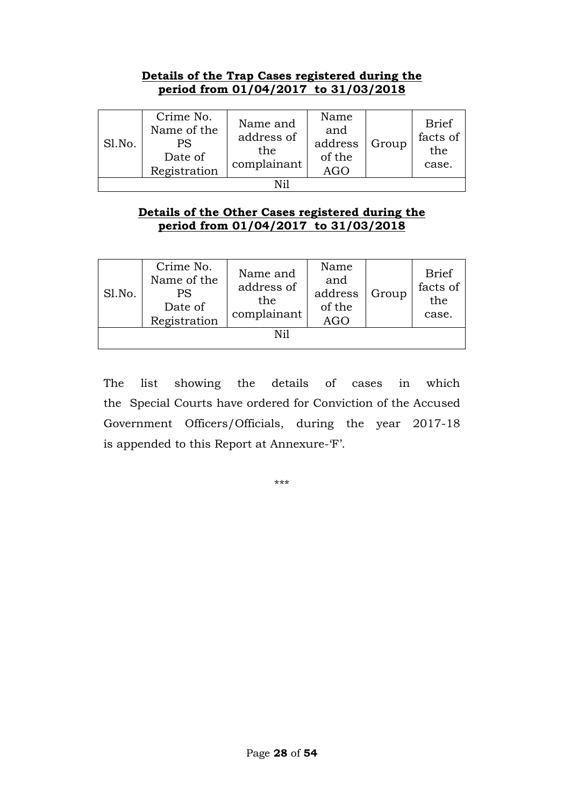#### **Details of the Trap Cases registered during the period from 01/04/2017 to 31/03/2018**

| Sl.No. | Crime No.<br>Name of the<br>PS<br>Date of<br>Registration | Name and<br>address of<br>the<br>complainant | Name<br>and<br>address<br>of the<br><b>AGO</b> | Group | <b>Brief</b><br>facts of<br>the<br>case. |  |  |  |  |
|--------|-----------------------------------------------------------|----------------------------------------------|------------------------------------------------|-------|------------------------------------------|--|--|--|--|
| Ni1    |                                                           |                                              |                                                |       |                                          |  |  |  |  |

#### **Details of the Other Cases registered during the period from 01/04/2017 to 31/03/2018**

| Sl.No. | Crime No.<br>Name of the<br><b>PS</b><br>Date of<br>Registration | Name and<br>address of<br>the<br>complainant | Name<br>and<br>address<br>of the<br><b>AGO</b> | Group | <b>Brief</b><br>facts of<br>the<br>case. |  |  |  |
|--------|------------------------------------------------------------------|----------------------------------------------|------------------------------------------------|-------|------------------------------------------|--|--|--|
| Ni1    |                                                                  |                                              |                                                |       |                                          |  |  |  |

The list showing the details of cases in which the Special Courts have ordered for Conviction of the Accused Government Officers/Officials, during the year 2017-18 is appended to this Report at Annexure-'F'.

\*\*\*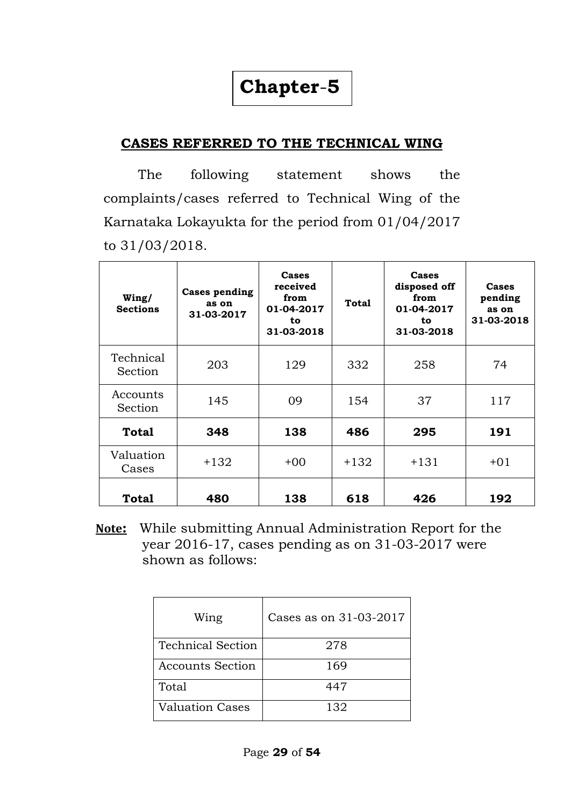## **Chapter**-**5**

### **CASES REFERRED TO THE TECHNICAL WING**

The following statement shows the complaints/cases referred to Technical Wing of the Karnataka Lokayukta for the period from 01/04/2017 to 31/03/2018.

| Wing/<br><b>Sections</b> | <b>Cases pending</b><br>as on<br>31-03-2017 | Cases<br>received<br>from<br>01-04-2017<br>to<br>31-03-2018 | <b>Total</b> | Cases<br>disposed off<br>from<br>01-04-2017<br>to<br>31-03-2018 | Cases<br>pending<br>as on<br>31-03-2018 |
|--------------------------|---------------------------------------------|-------------------------------------------------------------|--------------|-----------------------------------------------------------------|-----------------------------------------|
| Technical<br>Section     | 203                                         | 129                                                         | 332          | 258                                                             | 74                                      |
| Accounts<br>Section      | 145                                         | 09                                                          | 154          | 37                                                              | 117                                     |
| <b>Total</b>             | 348                                         | 138                                                         | 486          | 295                                                             | 191                                     |
| Valuation<br>Cases       | $+132$                                      | $+00$                                                       | $+132$       | $+131$                                                          | $+01$                                   |
| <b>Total</b>             | 480                                         | 138                                                         | 618          | 426                                                             | 192                                     |

 **Note:** While submitting Annual Administration Report for the year 2016-17, cases pending as on 31-03-2017 were shown as follows:

| Wing                     | Cases as on 31-03-2017 |
|--------------------------|------------------------|
| <b>Technical Section</b> | 278                    |
| <b>Accounts Section</b>  | 169                    |
| Total                    | 447                    |
| <b>Valuation Cases</b>   | 132                    |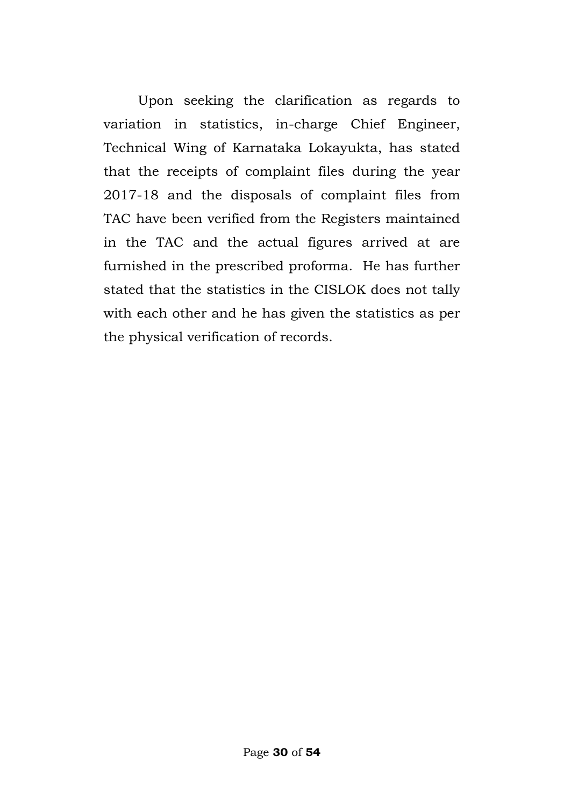Upon seeking the clarification as regards to variation in statistics, in-charge Chief Engineer, Technical Wing of Karnataka Lokayukta, has stated that the receipts of complaint files during the year 2017-18 and the disposals of complaint files from TAC have been verified from the Registers maintained in the TAC and the actual figures arrived at are furnished in the prescribed proforma. He has further stated that the statistics in the CISLOK does not tally with each other and he has given the statistics as per the physical verification of records.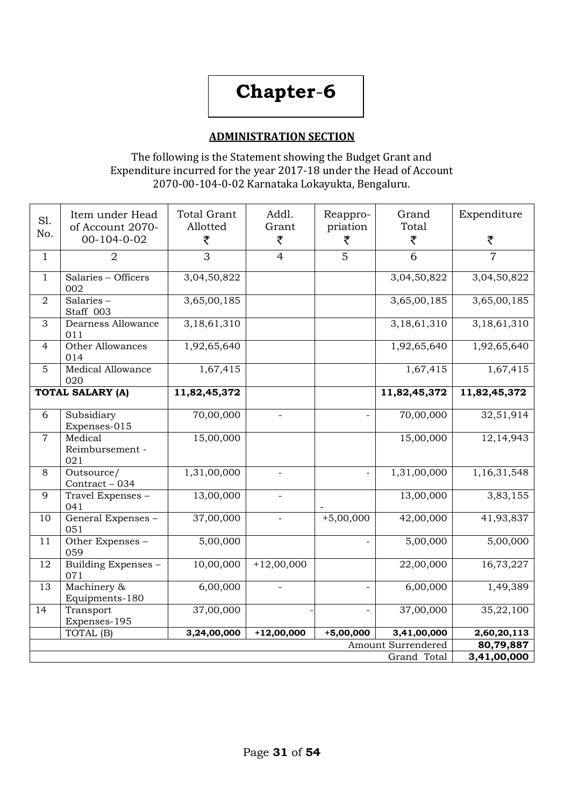## **Chapter**-**6**

#### **ADMINISTRATION SECTION**

The following is the Statement showing the Budget Grant and Expenditure incurred for the year 2017-18 under the Head of Account 2070-00-104-0-02 Karnataka Lokayukta, Bengaluru.

| S1.<br>No.     | Item under Head<br>of Account 2070-<br>00-104-0-02 | <b>Total Grant</b><br>Allotted<br>₹ | Addl.<br>Grant<br>₹      | Reappro-<br>priation<br>₹ | Grand<br>Total<br>₹ | Expenditure<br>₹         |  |  |
|----------------|----------------------------------------------------|-------------------------------------|--------------------------|---------------------------|---------------------|--------------------------|--|--|
| $\mathbf{1}$   | $\overline{2}$                                     | 3                                   | $\overline{4}$           | 5                         | 6                   | $\overline{7}$           |  |  |
| $\mathbf{1}$   | Salaries - Officers<br>002                         | 3,04,50,822                         |                          |                           | 3,04,50,822         | 3,04,50,822              |  |  |
| $\overline{2}$ | Salaries-<br>Staff 003                             | 3,65,00,185                         |                          |                           | 3,65,00,185         | 3,65,00,185              |  |  |
| 3              | Dearness Allowance<br>011                          | 3,18,61,310                         |                          |                           | 3,18,61,310         | 3,18,61,310              |  |  |
| $\overline{4}$ | Other Allowances<br>014                            | 1,92,65,640                         |                          |                           | 1,92,65,640         | 1,92,65,640              |  |  |
| $\overline{5}$ | Medical Allowance<br>020                           | 1,67,415                            |                          |                           | 1,67,415            | 1,67,415                 |  |  |
|                | <b>TOTAL SALARY (A)</b>                            | 11,82,45,372                        |                          |                           | 11,82,45,372        | 11,82,45,372             |  |  |
| 6              | Subsidiary<br>Expenses-015                         | 70,00,000                           | $\overline{\phantom{a}}$ | $\equiv$                  | 70,00,000           | 32,51,914                |  |  |
| $\overline{7}$ | Medical<br>Reimbursement -<br>021                  | 15,00,000                           |                          |                           | 15,00,000           | 12, 14, 943              |  |  |
| 8              | Outsource/<br>$Contract - 034$                     | 1,31,00,000                         | $\overline{a}$           | $\overline{a}$            | 1,31,00,000         | 1,16,31,548              |  |  |
| 9              | Travel Expenses -<br>041                           | 13,00,000                           | $\overline{\phantom{a}}$ |                           | 13,00,000           | 3,83,155                 |  |  |
| 10             | General Expenses -<br>051                          | 37,00,000                           | $\overline{\phantom{a}}$ | $+5,00,000$               | 42,00,000           | 41,93,837                |  |  |
| 11             | Other Expenses -<br>059                            | 5,00,000                            |                          |                           | 5,00,000            | 5,00,000                 |  |  |
| 12             | Building Expenses -<br>071                         | 10,00,000                           | $+12,00,000$             |                           | 22,00,000           | 16,73,227                |  |  |
| 13             | Machinery &<br>Equipments-180                      | 6,00,000                            | $\overline{\phantom{a}}$ |                           | 6,00,000            | 1,49,389                 |  |  |
| 14             | Transport<br>Expenses-195                          | 37,00,000                           |                          |                           | 37,00,000           | 35,22,100                |  |  |
|                | TOTAL (B)                                          | 3,24,00,000                         | $+12,00,000$             | $+5,00,000$               | 3,41,00,000         | 2,60,20,113              |  |  |
|                |                                                    |                                     |                          |                           | Amount Surrendered  | 80,79,887<br>3,41,00,000 |  |  |
| Grand Total    |                                                    |                                     |                          |                           |                     |                          |  |  |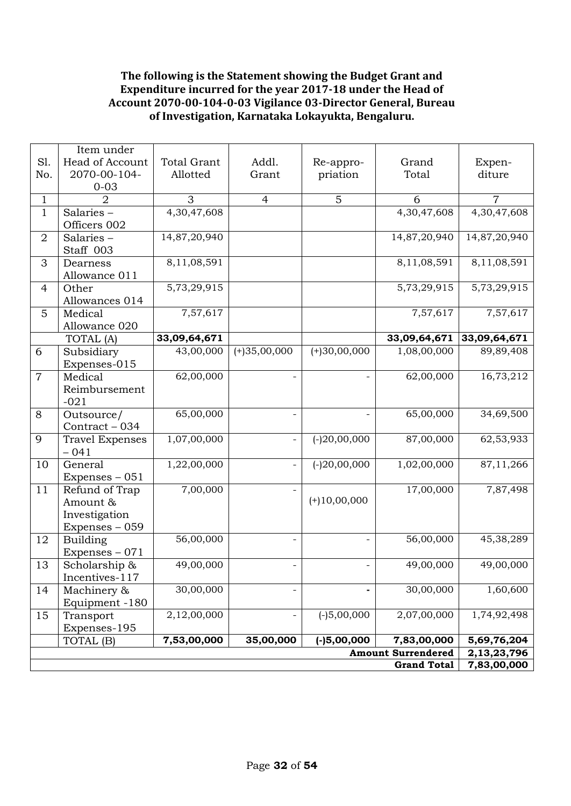#### **The following is the Statement showing the Budget Grant and Expenditure incurred for the year 2017-18 under the Head of Account 2070-00-104-0-03 Vigilance 03-Director General, Bureau of Investigation, Karnataka Lokayukta, Bengaluru.**

|                    | Item under                       |                          |                          |                |                           |                            |  |  |
|--------------------|----------------------------------|--------------------------|--------------------------|----------------|---------------------------|----------------------------|--|--|
| S1.                | Head of Account                  | <b>Total Grant</b>       | Addl.                    | Re-appro-      | Grand                     | Expen-                     |  |  |
| No.                | 2070-00-104-                     | Allotted                 | Grant                    | priation       | Total                     | diture                     |  |  |
|                    | $0 - 03$                         |                          |                          |                |                           |                            |  |  |
| $\mathbf{1}$       | $\overline{2}$                   | 3                        | $\overline{4}$           | 5              | 6                         | $\overline{7}$             |  |  |
| $\mathbf{1}$       | Salaries-                        | 4,30,47,608              |                          |                | 4,30,47,608               | 4,30,47,608                |  |  |
|                    | Officers 002                     |                          |                          |                |                           |                            |  |  |
| $\overline{2}$     | Salaries-                        | 14,87,20,940             |                          |                | 14,87,20,940              | 14,87,20,940               |  |  |
|                    | Staff 003                        |                          |                          |                |                           |                            |  |  |
| 3                  | Dearness                         | 8,11,08,591              |                          |                | 8,11,08,591               | 8,11,08,591                |  |  |
|                    | Allowance 011                    |                          |                          |                |                           |                            |  |  |
| $\overline{4}$     | Other                            | $\overline{5,73,29,915}$ |                          |                | 5,73,29,915               | 5,73,29,915                |  |  |
|                    | Allowances 014                   |                          |                          |                |                           |                            |  |  |
| 5                  | Medical                          | 7,57,617                 |                          |                | 7,57,617                  | 7,57,617                   |  |  |
|                    | Allowance 020                    |                          |                          |                |                           |                            |  |  |
|                    | TOTAL (A)                        | 33,09,64,671             |                          |                | 33,09,64,671              | 33,09,64,671               |  |  |
| 6                  | Subsidiary                       | 43,00,000                | $(+)35,00,000$           | $(+)30,00,000$ | 1,08,00,000               | 89,89,408                  |  |  |
|                    | Expenses-015                     |                          |                          |                |                           |                            |  |  |
| $\overline{7}$     | Medical                          | 62,00,000                | $\overline{\phantom{0}}$ |                | 62,00,000                 | 16,73,212                  |  |  |
|                    | Reimbursement                    |                          |                          |                |                           |                            |  |  |
|                    | $-021$                           |                          |                          |                |                           |                            |  |  |
| 8                  | Outsource/                       | 65,00,000                |                          |                | 65,00,000                 | 34,69,500                  |  |  |
|                    | Contract - 034                   |                          |                          |                |                           |                            |  |  |
| 9                  | <b>Travel Expenses</b><br>$-041$ | 1,07,00,000              | $\qquad \qquad -$        | $(-)20,00,000$ | 87,00,000                 | 62,53,933                  |  |  |
| 10                 | General                          | 1,22,00,000              | $\qquad \qquad -$        | $(-20,00,000)$ | 1,02,00,000               | 87,11,266                  |  |  |
|                    | Expenses - 051                   |                          |                          |                |                           |                            |  |  |
| 11                 | Refund of Trap                   | 7,00,000                 | $\overline{\phantom{0}}$ |                | 17,00,000                 | 7,87,498                   |  |  |
|                    | Amount &                         |                          |                          | $(+)10,00,000$ |                           |                            |  |  |
|                    | Investigation                    |                          |                          |                |                           |                            |  |  |
|                    | Expenses - 059                   |                          |                          |                |                           |                            |  |  |
| 12                 | Building                         | 56,00,000                |                          |                | 56,00,000                 | 45,38,289                  |  |  |
|                    | Expenses $-071$                  |                          |                          |                |                           |                            |  |  |
| 13                 | Scholarship &                    | 49,00,000                |                          |                | 49,00,000                 | 49,00,000                  |  |  |
|                    | Incentives-117                   |                          |                          |                |                           |                            |  |  |
| 14                 | Machinery &                      | 30,00,000                | $\overline{\phantom{0}}$ |                | 30,00,000                 | 1,60,600                   |  |  |
|                    | Equipment -180                   |                          |                          |                |                           |                            |  |  |
| 15                 | Transport                        | 2,12,00,000              |                          | $(-)5,00,000$  | 2,07,00,000               | 1,74,92,498                |  |  |
|                    | Expenses-195                     |                          |                          |                |                           |                            |  |  |
|                    | TOTAL (B)                        | 7,53,00,000              | 35,00,000                | $(-15,00,000)$ | 7,83,00,000               | 5,69,76,204                |  |  |
|                    |                                  |                          |                          |                | <b>Amount Surrendered</b> | 2,13,23,796<br>7,83,00,000 |  |  |
| <b>Grand Total</b> |                                  |                          |                          |                |                           |                            |  |  |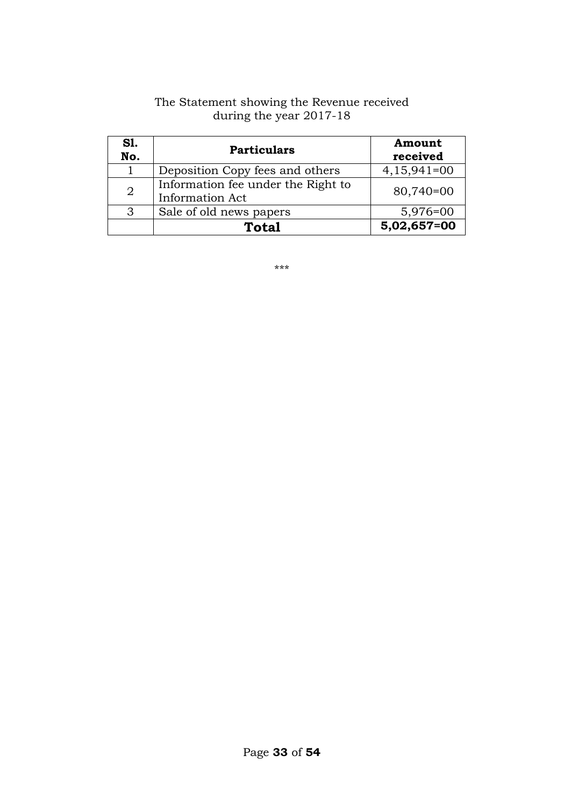| S1.<br>No.     | <b>Particulars</b>                                    | Amount<br>received |
|----------------|-------------------------------------------------------|--------------------|
|                | Deposition Copy fees and others                       | $4,15,941=00$      |
| $\overline{2}$ | Information fee under the Right to<br>Information Act | 80,740=00          |
| 3              | Sale of old news papers                               | 5,976=00           |
|                | <b>Total</b>                                          | 5,02,657=00        |

#### The Statement showing the Revenue received during the year 2017-18

\*\*\*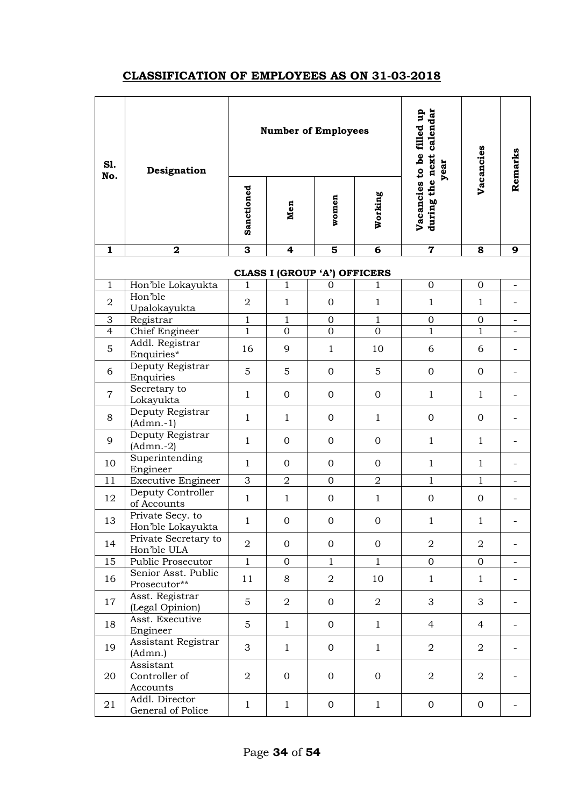### **CLASSIFICATION OF EMPLOYEES AS ON 31-03-2018**

| S1.<br>No.     | Designation                            | <b>Number of Employees</b> |                  |                              |                     | calendar<br>Vacancies to be filled up<br>year | Vacancies        | Remarks                  |
|----------------|----------------------------------------|----------------------------|------------------|------------------------------|---------------------|-----------------------------------------------|------------------|--------------------------|
|                |                                        | Sanctioned                 | Men              | women                        | Working             | during the next                               |                  |                          |
| $\mathbf{1}$   | $\mathbf 2$                            | $\overline{\mathbf{3}}$    | 4                | $\overline{\mathbf{5}}$      | $\overline{\bf{6}}$ | $\overline{\mathbf{7}}$                       | 8                | 9                        |
|                |                                        |                            |                  | CLASS I (GROUP 'A') OFFICERS |                     |                                               |                  |                          |
| $\mathbf{1}$   | Hon'ble Lokayukta                      | $\mathbf{1}$               | 1                | $\mathbf 0$                  | $\mathbf 1$         | $\mathbf 0$                                   | $\boldsymbol{0}$ | $\overline{\phantom{0}}$ |
| $\overline{a}$ | Hon'ble<br>Upalokayukta                | $\overline{a}$             | $\mathbf{1}$     | $\boldsymbol{0}$             | $\mathbf 1$         | $\mathbf{1}$                                  | $\mathbf{1}$     |                          |
| 3              | Registrar                              | $\mathbf{1}$               | $\mathbf{1}$     | $\boldsymbol{0}$             | $1\,$               | $\boldsymbol{0}$                              | $\boldsymbol{0}$ |                          |
| $\overline{4}$ | <b>Chief Engineer</b>                  | $\overline{1}$             | $\overline{0}$   | $\overline{0}$               | $\overline{0}$      | $\mathbf{1}$                                  | $\mathbf{1}$     |                          |
| 5              | Addl. Registrar<br>Enquiries*          | 16                         | 9                | $\mathbf{1}$                 | 10                  | 6                                             | 6                |                          |
| 6              | Deputy Registrar<br>Enquiries          | 5                          | 5                | $\boldsymbol{0}$             | 5                   | $\mathbf{0}$                                  | $\mathbf{0}$     |                          |
| $\overline{7}$ | Secretary to<br>Lokayukta              | $\mathbf{1}$               | $\mathbf 0$      | $\boldsymbol{0}$             | $\boldsymbol{0}$    | $\mathbf{1}$                                  | $\mathbf{1}$     |                          |
| 8              | Deputy Registrar<br>$(Admn.-1)$        | $\mathbf{1}$               | $\mathbf{1}$     | $\boldsymbol{0}$             | $\mathbf{1}$        | $\mathbf{0}$                                  | $\mathbf{0}$     |                          |
| 9              | Deputy Registrar<br>$(Admn.-2)$        | $\mathbf{1}$               | $\mathbf 0$      | $\boldsymbol{0}$             | $\boldsymbol{0}$    | $\mathbf{1}$                                  | $\mathbf{1}$     |                          |
| 10             | Superintending<br>Engineer             | $\mathbf{1}$               | $\mathbf{0}$     | $\boldsymbol{0}$             | $\mathbf 0$         | $\mathbf{1}$                                  | $\mathbf{1}$     |                          |
| 11             | <b>Executive Engineer</b>              | $\overline{3}$             | $\overline{2}$   | $\overline{0}$               | $\overline{2}$      | $\mathbf{1}$                                  | $\mathbf{1}$     |                          |
| 12             | Deputy Controller<br>of Accounts       | $\mathbf{1}$               | $\mathbf{1}$     | $\boldsymbol{0}$             | $\mathbf 1$         | $\mathbf 0$                                   | $\boldsymbol{0}$ |                          |
| 13             | Private Secy. to<br>Hon'ble Lokayukta  | $\mathbf 1$                | $\mathbf 0$      | $\boldsymbol{0}$             | $\boldsymbol{0}$    | $\mathbf{1}$                                  | $\mathbf 1$      |                          |
| 14             | Private Secretary to<br>Hon'ble ULA    | $\overline{2}$             | $\mathbf{0}$     | $\mathbf{O}$                 | $\overline{O}$      | $\overline{2}$                                | $\overline{2}$   | $\overline{\phantom{a}}$ |
| 15             | Public Prosecutor                      | $\mathbf{1}$               | $\boldsymbol{0}$ | $\mathbf{1}$                 | $\mathbf{1}$        | $\mathbf{0}$                                  | $\mathbf 0$      | $\overline{\phantom{0}}$ |
| 16             | Senior Asst. Public<br>Prosecutor**    | 11                         | 8                | $\overline{2}$               | 10                  | $\mathbf{1}$                                  | $\mathbf{1}$     |                          |
| 17             | Asst. Registrar<br>(Legal Opinion)     | 5                          | $\overline{2}$   | $\mathbf{0}$                 | $\overline{2}$      | 3                                             | 3                |                          |
| 18             | Asst. Executive<br>Engineer            | 5                          | $\mathbf{1}$     | $\mathbf{0}$                 | $\mathbf{1}$        | $\overline{4}$                                | $\overline{4}$   |                          |
| 19             | Assistant Registrar<br>(Admn.)         | 3                          | $\mathbf{1}$     | $\boldsymbol{0}$             | $\mathbf{1}$        | $\overline{2}$                                | $\overline{a}$   |                          |
| 20             | Assistant<br>Controller of<br>Accounts | $\overline{2}$             | $\mathbf 0$      | $\boldsymbol{0}$             | $\mathbf{0}$        | $\overline{a}$                                | $\overline{2}$   |                          |
| 21             | Addl. Director<br>General of Police    | $\mathbf{1}$               | $\mathbf{1}$     | $\overline{0}$               | $\mathbf{1}$        | $\overline{0}$                                | $\mathbf{0}$     |                          |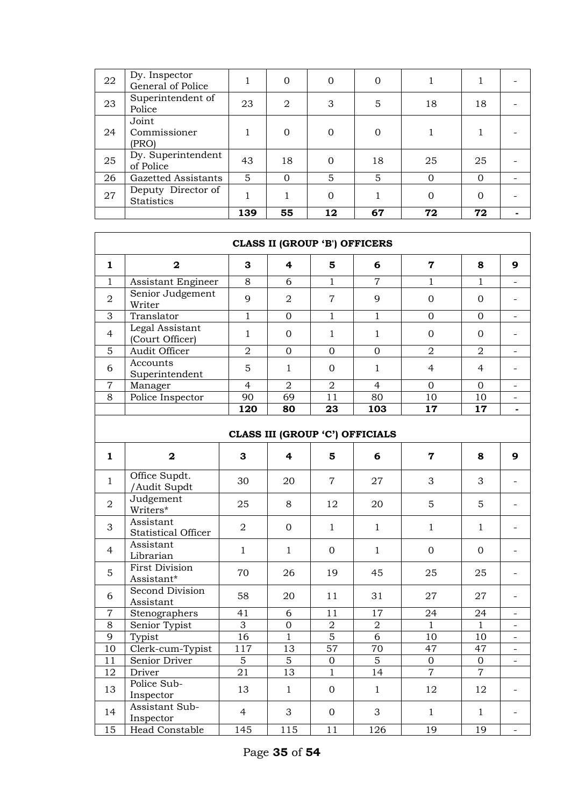| 22 | Dy. Inspector<br>General of Police      |     |                | $\Omega$ | $\Omega$ |    |          |  |
|----|-----------------------------------------|-----|----------------|----------|----------|----|----------|--|
| 23 | Superintendent of<br>Police             | 23  | $\overline{2}$ | 3        | 5        | 18 | 18       |  |
| 24 | Joint<br>Commissioner<br>(PRO)          |     |                | $\Omega$ | 0        |    |          |  |
| 25 | Dy. Superintendent<br>of Police         | 43  | 18             | $\Omega$ | 18       | 25 | 25       |  |
| 26 | Gazetted Assistants                     | 5   |                | 5        | 5        |    | $\Omega$ |  |
| 27 | Deputy Director of<br><b>Statistics</b> |     |                | $\Omega$ |          | O  | 0        |  |
|    |                                         | 139 | 55             | 12       | 67       | 72 | 72       |  |

|                | <b>CLASS II (GROUP 'B') OFFICERS</b>    |                 |                |                  |                |                 |                |                          |
|----------------|-----------------------------------------|-----------------|----------------|------------------|----------------|-----------------|----------------|--------------------------|
| 1              | $\overline{\mathbf{2}}$                 | 3               | 4              | 5                | 6              | $\overline{7}$  | 8              | 9                        |
| 1              | Assistant Engineer                      | 8               | 6              | $\mathbf{1}$     | $\overline{7}$ | 1               | $\mathbf{1}$   |                          |
| $\overline{2}$ | Senior Judgement<br>Writer              | 9               | $\overline{2}$ | $\overline{7}$   | 9              | $\mathbf{0}$    | $\mathbf{0}$   |                          |
| 3              | Translator                              | $\overline{1}$  | $\overline{0}$ | $\mathbf{1}$     | $\mathbf{1}$   | $\overline{0}$  | $\overline{0}$ | $\overline{\phantom{0}}$ |
| $\overline{4}$ | Legal Assistant<br>(Court Officer)      | $\mathbf{1}$    | $\mathbf{0}$   | $\mathbf{1}$     | $\mathbf{1}$   | $\mathbf{0}$    | $\mathbf{0}$   |                          |
| 5              | Audit Officer                           | $\overline{2}$  | $\overline{0}$ | $\overline{0}$   | $\overline{0}$ | $\overline{2}$  | $\overline{2}$ | $\overline{\phantom{0}}$ |
| 6              | Accounts<br>Superintendent              | 5               | $\mathbf{1}$   | $\mathbf{0}$     | $\mathbf{1}$   | $\overline{4}$  | $\overline{4}$ |                          |
| $\overline{7}$ | Manager                                 | $\overline{4}$  | $\overline{2}$ | $\sqrt{2}$       | $\overline{4}$ | $\overline{0}$  | $\overline{0}$ | $\overline{\phantom{0}}$ |
| $\overline{8}$ | Police Inspector                        | 90              | 69             | 11               | 80             | $\overline{10}$ | 10             |                          |
|                |                                         | 120             | 80             | 23               | 103            | 17              | 17             | $\blacksquare$           |
|                | CLASS III (GROUP 'C') OFFICIALS         |                 |                |                  |                |                 |                |                          |
| $\mathbf{1}$   | $\overline{\mathbf{2}}$                 | 3               | 4              | 5                | 6              | $\mathbf 7$     | 8              | 9                        |
| $\mathbf{1}$   | Office Supdt.<br>/Audit Supdt           | 30              | 20             | $\overline{7}$   | 27             | 3               | 3              |                          |
| $\overline{2}$ | Judgement<br>Writers*                   | 25              | 8              | 12               | 20             | 5               | 5              |                          |
| 3              | Assistant<br><b>Statistical Officer</b> | $\overline{2}$  | $\mathbf{0}$   | $\mathbf{1}$     | $\mathbf{1}$   | $\mathbf{1}$    | $\mathbf{1}$   |                          |
| 4              | Assistant<br>Librarian                  | $\mathbf{1}$    | $\mathbf{1}$   | $\boldsymbol{0}$ | $\mathbf{1}$   | $\mathbf 0$     | $\mathbf{0}$   |                          |
| 5              | <b>First Division</b><br>Assistant*     | 70              | 26             | 19               | 45             | 25              | 25             |                          |
| 6              | <b>Second Division</b><br>Assistant     | 58              | 20             | 11               | 31             | 27              | 27             |                          |
| $\overline{7}$ | Stenographers                           | 41              | 6              | 11               | 17             | 24              | 24             |                          |
| 8              | Senior Typist                           | $\overline{3}$  | $\overline{0}$ | $\boldsymbol{2}$ | $\sqrt{2}$     | $\mathbf{1}$    | $\mathbf{1}$   |                          |
| 9              | Typist                                  | $\overline{16}$ | $\mathbf{1}$   | $\overline{5}$   | $\overline{6}$ | 10              | 10             |                          |
| 10             | Clerk-cum-Typist                        | 117             | 13             | 57               | 70             | 47              | 47             | $\overline{\phantom{0}}$ |
| 11             | Senior Driver                           | $\overline{5}$  | $\overline{5}$ | $\overline{0}$   | $\overline{5}$ | $\overline{0}$  | $\overline{0}$ |                          |
| 12             | Driver                                  | 21              | 13             | $\mathbf{1}$     | 14             | $\overline{7}$  | $\overline{7}$ |                          |
| 13             | Police Sub-<br>Inspector                | 13              | $\mathbf{1}$   | $\mathbf{0}$     | $\mathbf{1}$   | 12              | 12             |                          |
| 14             | Assistant Sub-<br>Inspector             | $\overline{4}$  | 3              | $\mathbf{0}$     | 3              | $\mathbf{1}$    | $\mathbf{1}$   |                          |
| 15             | Head Constable                          | 145             | 115            | 11               | 126            | 19              | 19             |                          |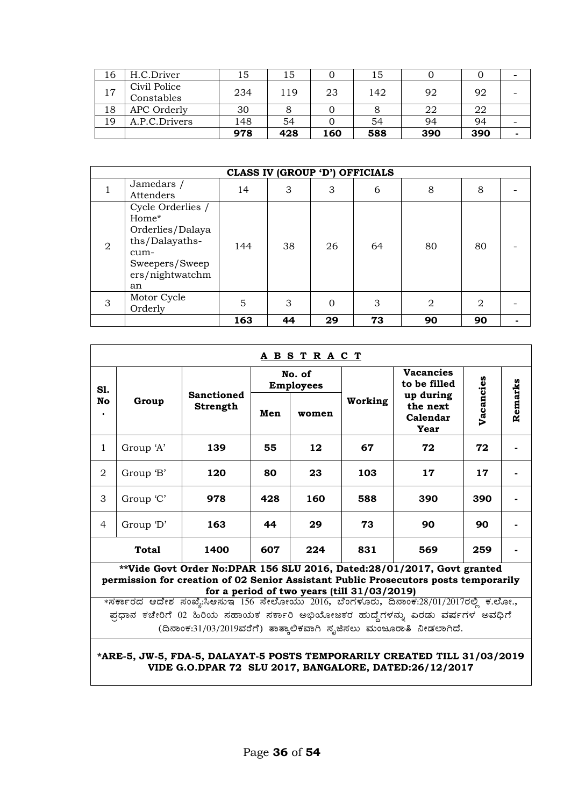| 16 | H.C.Driver                 | 15  | 15  |     | 15  |     |     |  |
|----|----------------------------|-----|-----|-----|-----|-----|-----|--|
| 17 | Civil Police<br>Constables | 234 | 119 | 23  | 142 | 92  | 92  |  |
| 18 | APC Orderly                | 30  |     |     |     | 22  | 22  |  |
| 19 | A.P.C.Drivers              | 148 | 54  |     | 54  | 94  | 94  |  |
|    |                            | 978 | 428 | 160 | 588 | 390 | 390 |  |

|                | CLASS IV (GROUP 'D') OFFICIALS                                                                                      |     |    |          |    |              |    |  |  |
|----------------|---------------------------------------------------------------------------------------------------------------------|-----|----|----------|----|--------------|----|--|--|
|                | Jamedars /<br>Attenders                                                                                             | 14  | 3  | 3        | 6  | 8            | 8  |  |  |
| $\overline{2}$ | Cycle Orderlies /<br>Home*<br>Orderlies/Dalaya<br>ths/Dalayaths-<br>cum-<br>Sweepers/Sweep<br>ers/nightwatchm<br>an | 144 | 38 | 26       | 64 | 80           | 80 |  |  |
| 3              | Motor Cycle<br>Orderly                                                                                              | 5   | 3  | $\Omega$ | 3  | $\mathbf{2}$ | 2  |  |  |
|                |                                                                                                                     | 163 | 44 | 29       | 73 | 90           | 90 |  |  |

| <u>ABSTRACT</u>                                                                                                                                                                                              |                                                                                                                                    |                                      |                            |       |         |                                           |           |         |
|--------------------------------------------------------------------------------------------------------------------------------------------------------------------------------------------------------------|------------------------------------------------------------------------------------------------------------------------------------|--------------------------------------|----------------------------|-------|---------|-------------------------------------------|-----------|---------|
| S1.                                                                                                                                                                                                          |                                                                                                                                    | <b>Sanctioned</b><br><b>Strength</b> | No. of<br><b>Employees</b> |       |         | <b>Vacancies</b><br>to be filled          |           |         |
| <b>No</b>                                                                                                                                                                                                    | Group                                                                                                                              |                                      | Men                        | women | Working | up during<br>the next<br>Calendar<br>Year | Vacancies | Remarks |
| 1                                                                                                                                                                                                            | Group 'A'                                                                                                                          | 139                                  | 55                         | 12    | 67      | 72                                        | 72        |         |
| 2                                                                                                                                                                                                            | Group 'B'                                                                                                                          | 120                                  | 80                         | 23    | 103     | 17                                        | 17        |         |
| 3                                                                                                                                                                                                            | Group 'C'                                                                                                                          | 978                                  | 428                        | 160   | 588     | 390                                       | 390       |         |
| $\overline{4}$                                                                                                                                                                                               | Group 'D'                                                                                                                          | 163                                  | 44                         | 29    | 73      | 90                                        | 90        |         |
|                                                                                                                                                                                                              | <b>Total</b>                                                                                                                       | 1400                                 | 607                        | 224   | 831     | 569                                       | 259       |         |
| **Vide Govt Order No:DPAR 156 SLU 2016, Dated:28/01/2017, Govt granted<br>permission for creation of 02 Senior Assistant Public Prosecutors posts temporarily<br>for a period of two years (till 31/03/2019) |                                                                                                                                    |                                      |                            |       |         |                                           |           |         |
| *ಸರ್ಕಾರದ ಆದೇಶ ಸಂಖ್ಯೆ:ಸಿಆಸುಇ 156 ಸೇಲೋಯು 2016, ಬೆಂಗಳೂರು, ದಿನಾಂಕ:28/01/2017ರಲ್ಲಿ ಕ.ಲೋ.,                                                                                                                         |                                                                                                                                    |                                      |                            |       |         |                                           |           |         |
| ಪ್ರಧಾನ ಕಚೇರಿಗೆ 02 ಹಿರಿಯ ಸಹಾಯಕ ಸರ್ಕಾರಿ ಅಭಿಯೋಜಕರ ಹುದ್ದೆಗಳನ್ನು ಎರಡು ವರ್ಷಗಳ ಅವಧಿಗೆ                                                                                                                               |                                                                                                                                    |                                      |                            |       |         |                                           |           |         |
| (ದಿನಾಂಕ:31/03/2019ವರೆಗೆ) ತಾತ್ಕಾಲಿಕವಾಗಿ ಸೃಜಿಸಲು ಮಂಜೂರಾತಿ ನೀಡಲಾಗಿದೆ.                                                                                                                                           |                                                                                                                                    |                                      |                            |       |         |                                           |           |         |
|                                                                                                                                                                                                              | *ARE-5, JW-5, FDA-5, DALAYAT-5 POSTS TEMPORARILY CREATED TILL 31/03/2019<br>VIDE G.O.DPAR 72 SLU 2017, BANGALORE, DATED:26/12/2017 |                                      |                            |       |         |                                           |           |         |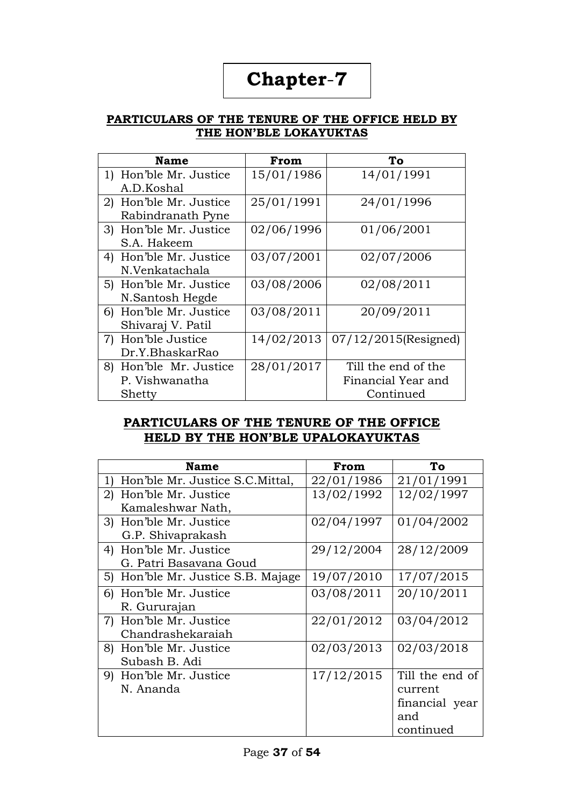# **Chapter**-**7**

#### **PARTICULARS OF THE TENURE OF THE OFFICE HELD BY THE HON'BLE LOKAYUKTAS**

| <b>Name</b>               | From       | To                      |
|---------------------------|------------|-------------------------|
| 1) Hon'ble Mr. Justice    | 15/01/1986 | 14/01/1991              |
| A.D.Koshal                |            |                         |
| 2) Hon'ble Mr. Justice    | 25/01/1991 | 24/01/1996              |
| Rabindranath Pyne         |            |                         |
| 3) Hon'ble Mr. Justice    | 02/06/1996 | 01/06/2001              |
| S.A. Hakeem               |            |                         |
| 4) Hon'ble Mr. Justice    | 03/07/2001 | 02/07/2006              |
| N.Venkatachala            |            |                         |
| 5) Hon'ble Mr. Justice    | 03/08/2006 | 02/08/2011              |
| N.Santosh Hegde           |            |                         |
| Hon'ble Mr. Justice<br>6) | 03/08/2011 | 20/09/2011              |
| Shivaraj V. Patil         |            |                         |
| 7) Hon'ble Justice        | 14/02/2013 | $07/12/2015$ (Resigned) |
| Dr.Y.BhaskarRao           |            |                         |
| 8) Hon'ble Mr. Justice    | 28/01/2017 | Till the end of the     |
| P. Vishwanatha            |            | Financial Year and      |
| Shetty                    |            | Continued               |

#### **PARTICULARS OF THE TENURE OF THE OFFICE HELD BY THE HON'BLE UPALOKAYUKTAS**

|    | <b>Name</b>                        | From       | To              |
|----|------------------------------------|------------|-----------------|
| 1) | Hon'ble Mr. Justice S.C.Mittal,    | 22/01/1986 | 21/01/1991      |
|    | 2) Hon'ble Mr. Justice             | 13/02/1992 | 12/02/1997      |
|    | Kamaleshwar Nath,                  |            |                 |
|    | 3) Hon'ble Mr. Justice             | 02/04/1997 | 01/04/2002      |
|    | G.P. Shivaprakash                  |            |                 |
|    | 4) Hon'ble Mr. Justice             | 29/12/2004 | 28/12/2009      |
|    | G. Patri Basavana Goud             |            |                 |
|    | 5) Hon'ble Mr. Justice S.B. Majage | 19/07/2010 | 17/07/2015      |
|    | 6) Hon'ble Mr. Justice             | 03/08/2011 | 20/10/2011      |
|    | R. Gururajan                       |            |                 |
|    | 7) Hon'ble Mr. Justice             | 22/01/2012 | 03/04/2012      |
|    | Chandrashekaraiah                  |            |                 |
|    | 8) Hon'ble Mr. Justice             | 02/03/2013 | 02/03/2018      |
|    | Subash B. Adi                      |            |                 |
|    | 9) Hon'ble Mr. Justice             | 17/12/2015 | Till the end of |
|    | N. Ananda                          |            | current         |
|    |                                    |            | financial year  |
|    |                                    |            | and             |
|    |                                    |            | continued       |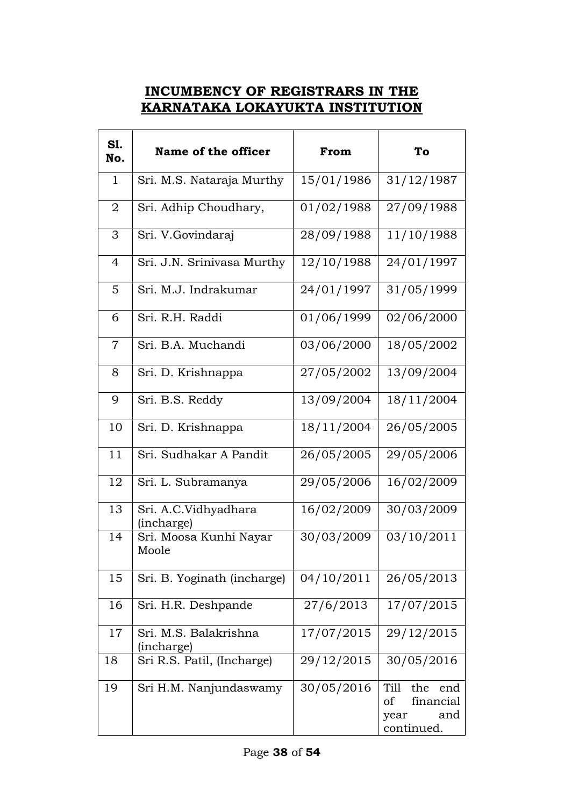## **INCUMBENCY OF REGISTRARS IN THE KARNATAKA LOKAYUKTA INSTITUTION**

| <b>S1.</b><br>No. | Name of the officer                 | From       | To                                                                 |  |
|-------------------|-------------------------------------|------------|--------------------------------------------------------------------|--|
| $\mathbf{1}$      | Sri. M.S. Nataraja Murthy           | 15/01/1986 | 31/12/1987                                                         |  |
| 2                 | Sri. Adhip Choudhary,               | 01/02/1988 | 27/09/1988                                                         |  |
| 3                 | Sri. V.Govindaraj                   | 28/09/1988 | 11/10/1988                                                         |  |
| 4                 | Sri. J.N. Srinivasa Murthy          | 12/10/1988 | 24/01/1997                                                         |  |
| 5                 | Sri. M.J. Indrakumar                | 24/01/1997 | 31/05/1999                                                         |  |
| 6                 | Sri. R.H. Raddi                     | 01/06/1999 | 02/06/2000                                                         |  |
| $\overline{7}$    | Sri. B.A. Muchandi                  | 03/06/2000 | 18/05/2002                                                         |  |
| 8                 | Sri. D. Krishnappa                  | 27/05/2002 | 13/09/2004                                                         |  |
| 9                 | Sri. B.S. Reddy                     | 13/09/2004 | 18/11/2004                                                         |  |
| 10                | Sri. D. Krishnappa                  | 18/11/2004 | 26/05/2005                                                         |  |
| 11                | Sri. Sudhakar A Pandit              | 26/05/2005 | 29/05/2006                                                         |  |
| 12                | Sri. L. Subramanya                  | 29/05/2006 | 16/02/2009                                                         |  |
| 13                | Sri. A.C.Vidhyadhara<br>(incharge)  | 16/02/2009 | 30/03/2009                                                         |  |
| 14                | Sri. Moosa Kunhi Nayar<br>Moole     | 30/03/2009 | 03/10/2011                                                         |  |
| 15                | Sri. B. Yoginath (incharge)         | 04/10/2011 | 26/05/2013                                                         |  |
| 16                | Sri. H.R. Deshpande                 | 27/6/2013  | 17/07/2015                                                         |  |
| 17                | Sri. M.S. Balakrishna<br>(incharge) | 17/07/2015 | 29/12/2015                                                         |  |
| 18                | Sri R.S. Patil, (Incharge)          | 29/12/2015 | 30/05/2016                                                         |  |
| 19                | Sri H.M. Nanjundaswamy              | 30/05/2016 | Till<br>the<br>end<br>financial<br>οf<br>and<br>year<br>continued. |  |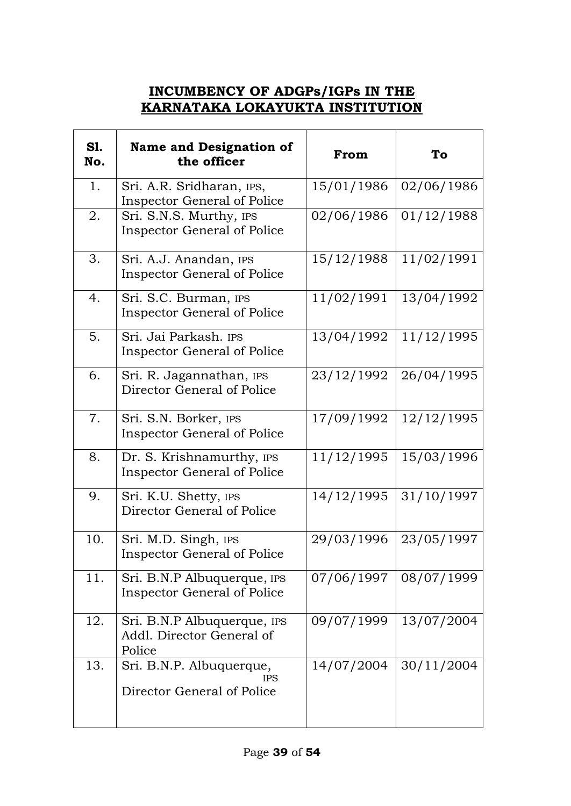## **INCUMBENCY OF ADGPs/IGPs IN THE KARNATAKA LOKAYUKTA INSTITUTION**

| <b>S1.</b><br>No. | <b>Name and Designation of</b><br>the officer                        | From       | To         |  |
|-------------------|----------------------------------------------------------------------|------------|------------|--|
| 1.                | Sri. A.R. Sridharan, IPS,<br><b>Inspector General of Police</b>      | 15/01/1986 | 02/06/1986 |  |
| 2.                | Sri. S.N.S. Murthy, IPS<br><b>Inspector General of Police</b>        | 02/06/1986 | 01/12/1988 |  |
| 3.                | Sri. A.J. Anandan, IPS<br><b>Inspector General of Police</b>         | 15/12/1988 | 11/02/1991 |  |
| 4.                | Sri. S.C. Burman, IPS<br><b>Inspector General of Police</b>          | 11/02/1991 | 13/04/1992 |  |
| 5.                | Sri. Jai Parkash. IPS<br><b>Inspector General of Police</b>          | 13/04/1992 | 11/12/1995 |  |
| 6.                | Sri. R. Jagannathan, IPS<br>Director General of Police               | 23/12/1992 | 26/04/1995 |  |
| 7.                | Sri. S.N. Borker, IPS<br><b>Inspector General of Police</b>          | 17/09/1992 | 12/12/1995 |  |
| 8.                | Dr. S. Krishnamurthy, IPS<br><b>Inspector General of Police</b>      | 11/12/1995 | 15/03/1996 |  |
| 9.                | Sri. K.U. Shetty, IPS<br>Director General of Police                  | 14/12/1995 | 31/10/1997 |  |
| 10.               | Sri. M.D. Singh, IPS<br><b>Inspector General of Police</b>           | 29/03/1996 | 23/05/1997 |  |
| 11.               | Sri. B.N.P Albuquerque, IPS<br><b>Inspector General of Police</b>    | 07/06/1997 | 08/07/1999 |  |
| 12.               | Sri. B.N.P Albuquerque, IPS<br>Addl. Director General of<br>Police   | 09/07/1999 | 13/07/2004 |  |
| 13.               | Sri. B.N.P. Albuquerque,<br><b>IPS</b><br>Director General of Police | 14/07/2004 | 30/11/2004 |  |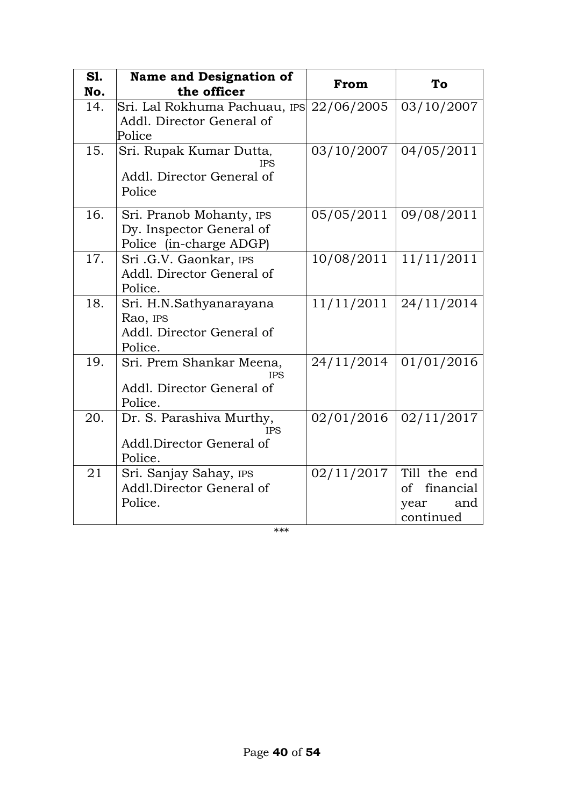| <b>S1.</b> | <b>Name and Designation of</b>                                                  | From       | To                                                       |
|------------|---------------------------------------------------------------------------------|------------|----------------------------------------------------------|
| No.        | the officer                                                                     |            |                                                          |
| 14.        | Sri. Lal Rokhuma Pachuau, IPS<br>Addl. Director General of<br>Police            | 22/06/2005 | 03/10/2007                                               |
| 15.        | Sri. Rupak Kumar Dutta,<br><b>IPS</b><br>Addl. Director General of<br>Police    | 03/10/2007 | 04/05/2011                                               |
| 16.        | Sri. Pranob Mohanty, IPS<br>Dy. Inspector General of<br>Police (in-charge ADGP) | 05/05/2011 | 09/08/2011                                               |
| 17.        | Sri .G.V. Gaonkar, IPS<br>Addl. Director General of<br>Police.                  | 10/08/2011 | 11/11/2011                                               |
| 18.        | Sri. H.N.Sathyanarayana<br>Rao, IPS<br>Addl. Director General of<br>Police.     | 11/11/2011 | 24/11/2014                                               |
| 19.        | Sri. Prem Shankar Meena,<br><b>IPS</b><br>Addl. Director General of<br>Police.  | 24/11/2014 | 01/01/2016                                               |
| 20.        | Dr. S. Parashiva Murthy,<br><b>IPS</b><br>Addl.Director General of<br>Police.   | 02/01/2016 | 02/11/2017                                               |
| 21         | Sri. Sanjay Sahay, IPS<br>Addl.Director General of<br>Police.                   | 02/11/2017 | Till the end<br>of financial<br>and<br>year<br>continued |

\*\*\*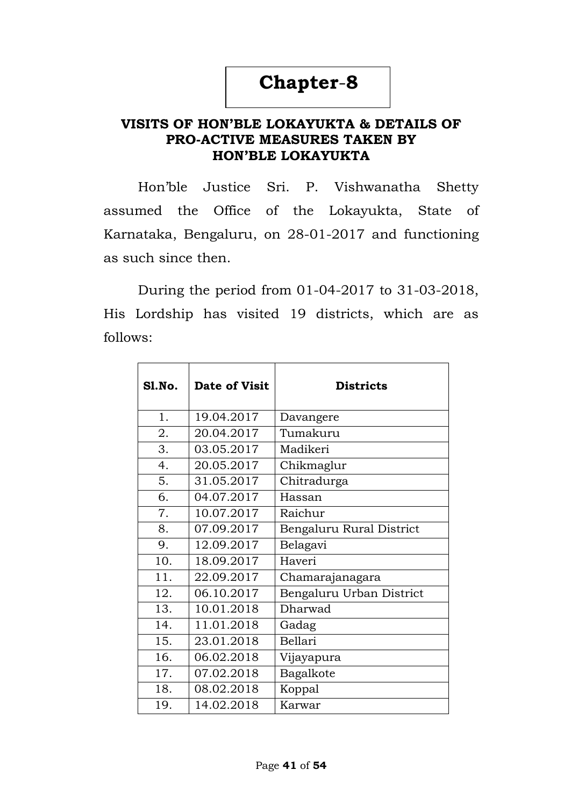## **Chapter**-**8**

### **VISITS OF HON'BLE LOKAYUKTA & DETAILS OF PRO-ACTIVE MEASURES TAKEN BY HON'BLE LOKAYUKTA**

Hon"ble Justice Sri. P. Vishwanatha Shetty assumed the Office of the Lokayukta, State of Karnataka, Bengaluru, on 28-01-2017 and functioning as such since then.

During the period from 01-04-2017 to 31-03-2018, His Lordship has visited 19 districts, which are as follows:

| <b>S1.No.</b> | <b>Date of Visit</b> | <b>Districts</b>         |
|---------------|----------------------|--------------------------|
| 1.            | 19.04.2017           | Davangere                |
| 2.            | 20.04.2017           | Tumakuru                 |
| 3.            | 03.05.2017           | Madikeri                 |
| 4.            | 20.05.2017           | Chikmaglur               |
| 5.            | 31.05.2017           | Chitradurga              |
| 6.            | 04.07.2017           | Hassan                   |
| 7.            | 10.07.2017           | Raichur                  |
| 8.            | 07.09.2017           | Bengaluru Rural District |
| 9.            | 12.09.2017           | Belagavi                 |
| 10.           | 18.09.2017           | Haveri                   |
| 11.           | 22.09.2017           | Chamarajanagara          |
| 12.           | 06.10.2017           | Bengaluru Urban District |
| 13.           | 10.01.2018           | Dharwad                  |
| 14.           | 11.01.2018           | Gadag                    |
| 15.           | 23.01.2018           | Bellari                  |
| 16.           | 06.02.2018           | Vijayapura               |
| 17.           | 07.02.2018           | Bagalkote                |
| 18.           | 08.02.2018           | Koppal                   |
| 19.           | 14.02.2018           | Karwar                   |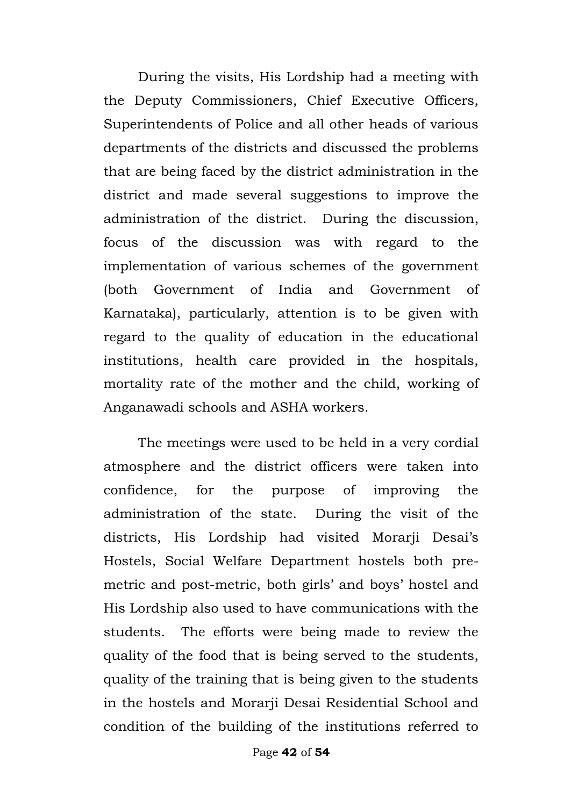During the visits, His Lordship had a meeting with the Deputy Commissioners, Chief Executive Officers, Superintendents of Police and all other heads of various departments of the districts and discussed the problems that are being faced by the district administration in the district and made several suggestions to improve the administration of the district. During the discussion, focus of the discussion was with regard to the implementation of various schemes of the government (both Government of India and Government of Karnataka), particularly, attention is to be given with regard to the quality of education in the educational institutions, health care provided in the hospitals, mortality rate of the mother and the child, working of Anganawadi schools and ASHA workers.

The meetings were used to be held in a very cordial atmosphere and the district officers were taken into confidence, for the purpose of improving the administration of the state. During the visit of the districts, His Lordship had visited Morarji Desai's Hostels, Social Welfare Department hostels both premetric and post-metric, both girls' and boys' hostel and His Lordship also used to have communications with the students. The efforts were being made to review the quality of the food that is being served to the students, quality of the training that is being given to the students in the hostels and Morarji Desai Residential School and condition of the building of the institutions referred to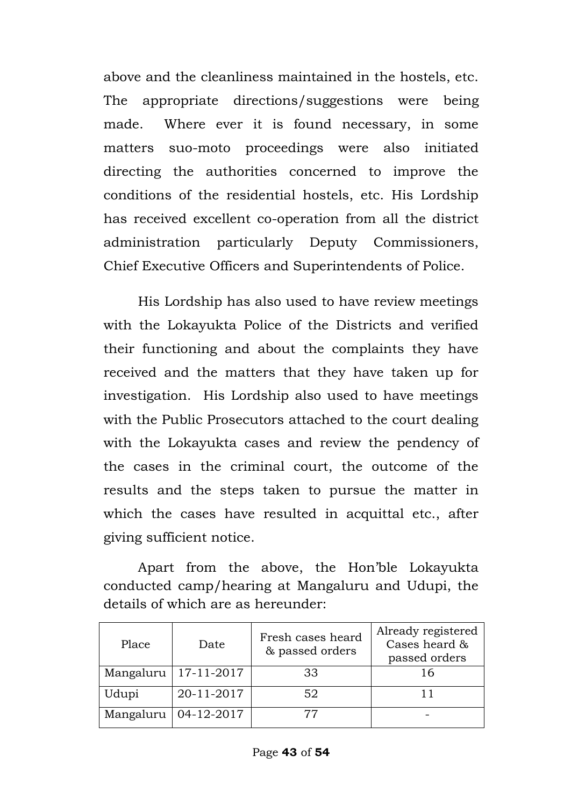above and the cleanliness maintained in the hostels, etc. The appropriate directions/suggestions were being made. Where ever it is found necessary, in some matters suo-moto proceedings were also initiated directing the authorities concerned to improve the conditions of the residential hostels, etc. His Lordship has received excellent co-operation from all the district administration particularly Deputy Commissioners, Chief Executive Officers and Superintendents of Police.

His Lordship has also used to have review meetings with the Lokayukta Police of the Districts and verified their functioning and about the complaints they have received and the matters that they have taken up for investigation. His Lordship also used to have meetings with the Public Prosecutors attached to the court dealing with the Lokayukta cases and review the pendency of the cases in the criminal court, the outcome of the results and the steps taken to pursue the matter in which the cases have resulted in acquittal etc., after giving sufficient notice.

Apart from the above, the Hon"ble Lokayukta conducted camp/hearing at Mangaluru and Udupi, the details of which are as hereunder:

| Place     | Date       | Fresh cases heard<br>& passed orders | Already registered<br>Cases heard &<br>passed orders |
|-----------|------------|--------------------------------------|------------------------------------------------------|
| Mangaluru | 17-11-2017 | 33                                   | 16                                                   |
| Udupi     | 20-11-2017 | 52                                   |                                                      |
| Mangaluru | 04-12-2017 |                                      |                                                      |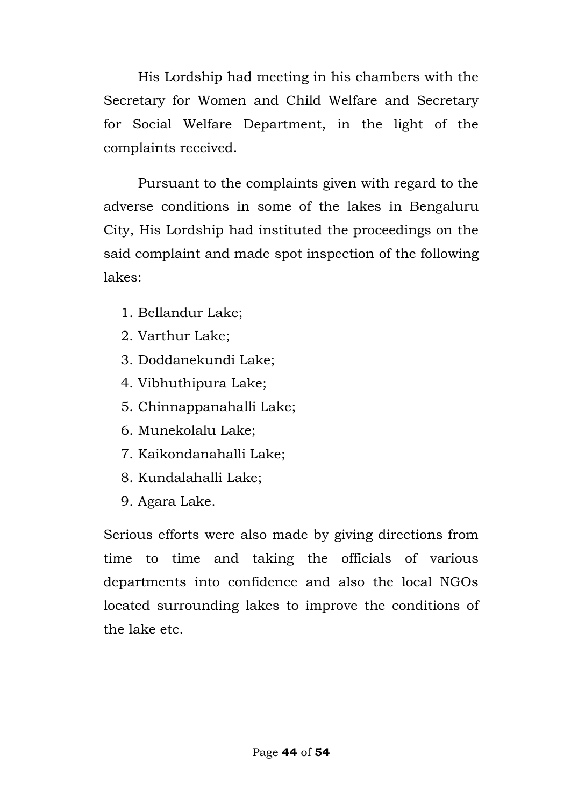His Lordship had meeting in his chambers with the Secretary for Women and Child Welfare and Secretary for Social Welfare Department, in the light of the complaints received.

Pursuant to the complaints given with regard to the adverse conditions in some of the lakes in Bengaluru City, His Lordship had instituted the proceedings on the said complaint and made spot inspection of the following lakes:

- 1. Bellandur Lake;
- 2. Varthur Lake;
- 3. Doddanekundi Lake;
- 4. Vibhuthipura Lake;
- 5. Chinnappanahalli Lake;
- 6. Munekolalu Lake;
- 7. Kaikondanahalli Lake;
- 8. Kundalahalli Lake;
- 9. Agara Lake.

Serious efforts were also made by giving directions from time to time and taking the officials of various departments into confidence and also the local NGOs located surrounding lakes to improve the conditions of the lake etc.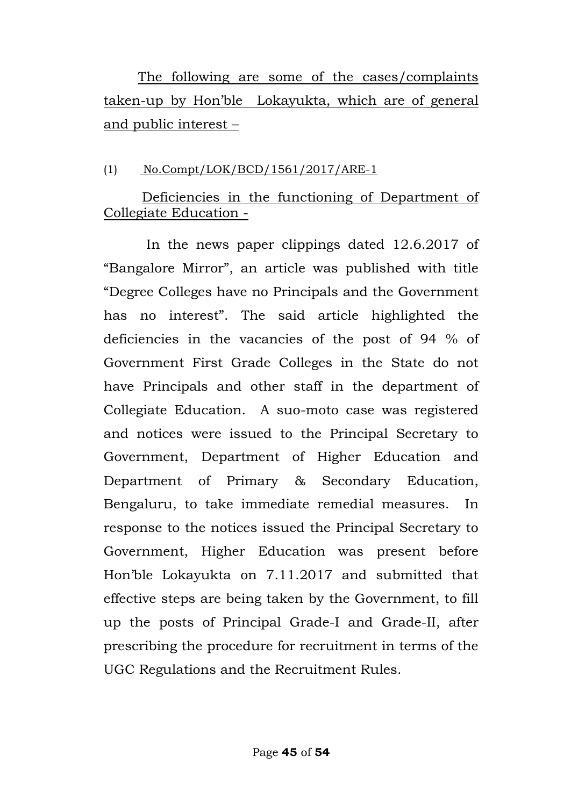The following are some of the cases/complaints taken-up by Hon"ble Lokayukta, which are of general and public interest –

### (1) No.Compt/LOK/BCD/1561/2017/ARE-1

## Deficiencies in the functioning of Department of Collegiate Education -

 In the news paper clippings dated 12.6.2017 of "Bangalore Mirror", an article was published with title "Degree Colleges have no Principals and the Government has no interest". The said article highlighted the deficiencies in the vacancies of the post of 94 % of Government First Grade Colleges in the State do not have Principals and other staff in the department of Collegiate Education. A suo-moto case was registered and notices were issued to the Principal Secretary to Government, Department of Higher Education and Department of Primary & Secondary Education, Bengaluru, to take immediate remedial measures. In response to the notices issued the Principal Secretary to Government, Higher Education was present before Hon"ble Lokayukta on 7.11.2017 and submitted that effective steps are being taken by the Government, to fill up the posts of Principal Grade-I and Grade-II, after prescribing the procedure for recruitment in terms of the UGC Regulations and the Recruitment Rules.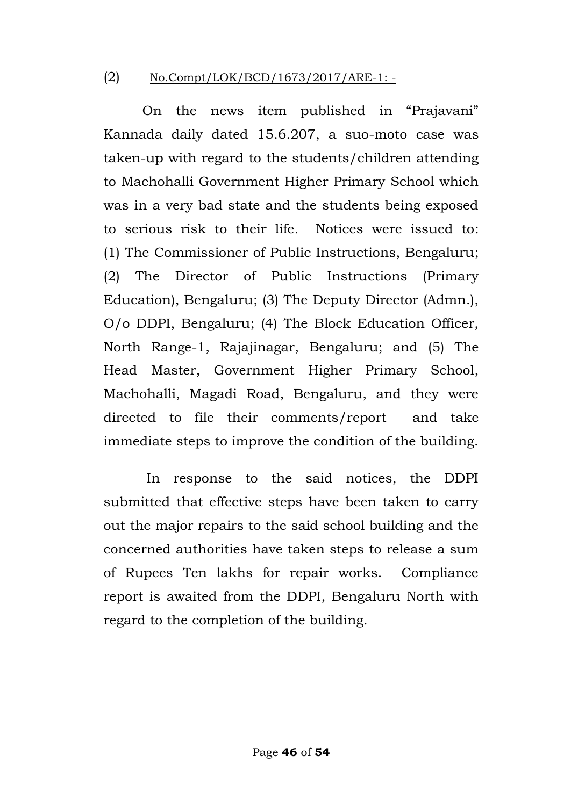#### (2) No.Compt/LOK/BCD/1673/2017/ARE-1: -

On the news item published in "Prajavani" Kannada daily dated 15.6.207, a suo-moto case was taken-up with regard to the students/children attending to Machohalli Government Higher Primary School which was in a very bad state and the students being exposed to serious risk to their life. Notices were issued to: (1) The Commissioner of Public Instructions, Bengaluru; (2) The Director of Public Instructions (Primary Education), Bengaluru; (3) The Deputy Director (Admn.), O/o DDPI, Bengaluru; (4) The Block Education Officer, North Range-1, Rajajinagar, Bengaluru; and (5) The Head Master, Government Higher Primary School, Machohalli, Magadi Road, Bengaluru, and they were directed to file their comments/report and take immediate steps to improve the condition of the building.

 In response to the said notices, the DDPI submitted that effective steps have been taken to carry out the major repairs to the said school building and the concerned authorities have taken steps to release a sum of Rupees Ten lakhs for repair works. Compliance report is awaited from the DDPI, Bengaluru North with regard to the completion of the building.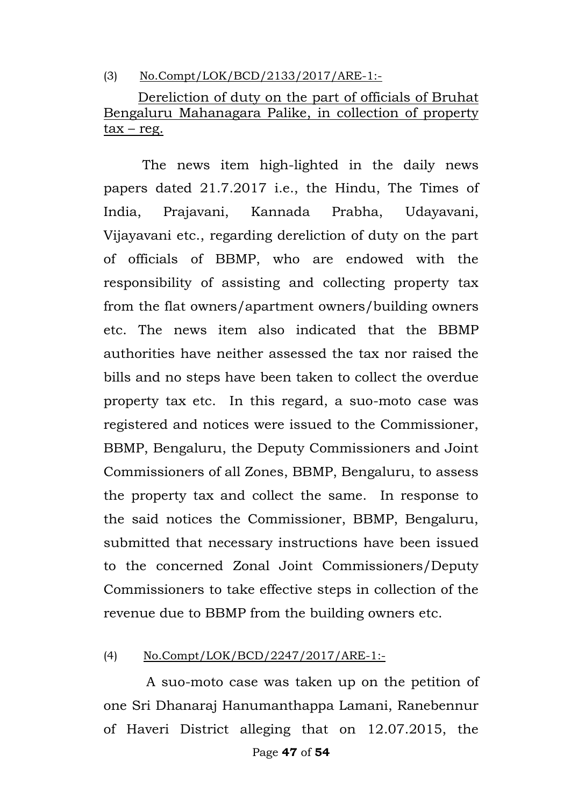(3) No.Compt/LOK/BCD/2133/2017/ARE-1:-

Dereliction of duty on the part of officials of Bruhat Bengaluru Mahanagara Palike, in collection of property  $tax - reg.$ Ī

 The news item high-lighted in the daily news papers dated 21.7.2017 i.e., the Hindu, The Times of India, Prajavani, Kannada Prabha, Udayavani, Vijayavani etc., regarding dereliction of duty on the part of officials of BBMP, who are endowed with the responsibility of assisting and collecting property tax from the flat owners/apartment owners/building owners etc. The news item also indicated that the BBMP authorities have neither assessed the tax nor raised the bills and no steps have been taken to collect the overdue property tax etc. In this regard, a suo-moto case was registered and notices were issued to the Commissioner, BBMP, Bengaluru, the Deputy Commissioners and Joint Commissioners of all Zones, BBMP, Bengaluru, to assess the property tax and collect the same. In response to the said notices the Commissioner, BBMP, Bengaluru, submitted that necessary instructions have been issued to the concerned Zonal Joint Commissioners/Deputy Commissioners to take effective steps in collection of the revenue due to BBMP from the building owners etc.

(4) No.Compt/LOK/BCD/2247/2017/ARE-1:-

 A suo-moto case was taken up on the petition of one Sri Dhanaraj Hanumanthappa Lamani, Ranebennur of Haveri District alleging that on 12.07.2015, the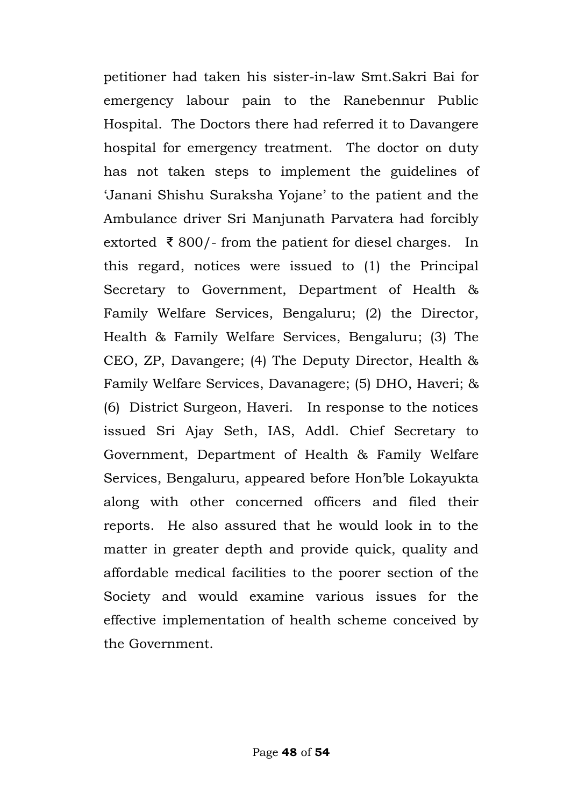petitioner had taken his sister-in-law Smt.Sakri Bai for emergency labour pain to the Ranebennur Public Hospital. The Doctors there had referred it to Davangere hospital for emergency treatment. The doctor on duty has not taken steps to implement the guidelines of "Janani Shishu Suraksha Yojane" to the patient and the Ambulance driver Sri Manjunath Parvatera had forcibly extorted ₹ 800/- from the patient for diesel charges. In this regard, notices were issued to (1) the Principal Secretary to Government, Department of Health & Family Welfare Services, Bengaluru; (2) the Director, Health & Family Welfare Services, Bengaluru; (3) The CEO, ZP, Davangere; (4) The Deputy Director, Health & Family Welfare Services, Davanagere; (5) DHO, Haveri; & (6) District Surgeon, Haveri. In response to the notices issued Sri Ajay Seth, IAS, Addl. Chief Secretary to Government, Department of Health & Family Welfare Services, Bengaluru, appeared before Hon"ble Lokayukta along with other concerned officers and filed their reports. He also assured that he would look in to the matter in greater depth and provide quick, quality and affordable medical facilities to the poorer section of the Society and would examine various issues for the effective implementation of health scheme conceived by the Government.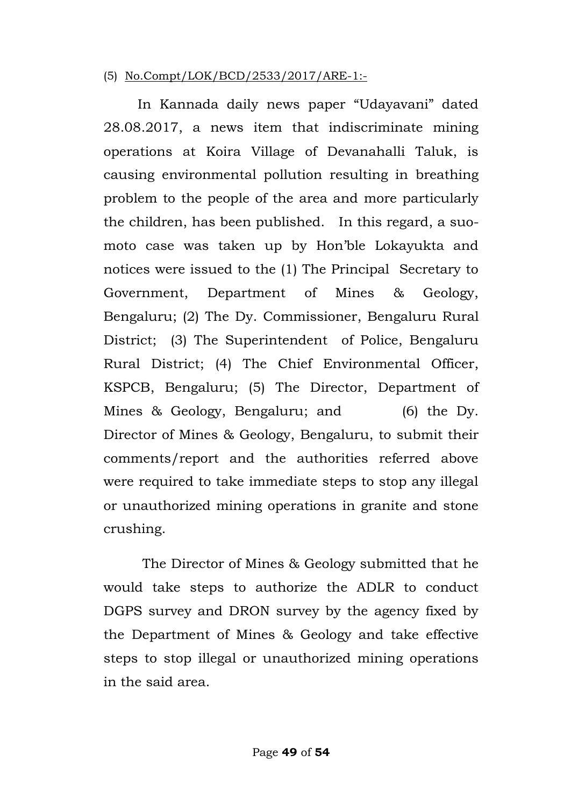#### (5) No.Compt/LOK/BCD/2533/2017/ARE-1:-

 In Kannada daily news paper "Udayavani" dated 28.08.2017, a news item that indiscriminate mining operations at Koira Village of Devanahalli Taluk, is causing environmental pollution resulting in breathing problem to the people of the area and more particularly the children, has been published. In this regard, a suomoto case was taken up by Hon"ble Lokayukta and notices were issued to the (1) The Principal Secretary to Government, Department of Mines & Geology, Bengaluru; (2) The Dy. Commissioner, Bengaluru Rural District; (3) The Superintendent of Police, Bengaluru Rural District; (4) The Chief Environmental Officer, KSPCB, Bengaluru; (5) The Director, Department of Mines & Geology, Bengaluru; and (6) the Dy. Director of Mines & Geology, Bengaluru, to submit their comments/report and the authorities referred above were required to take immediate steps to stop any illegal or unauthorized mining operations in granite and stone crushing.

The Director of Mines & Geology submitted that he would take steps to authorize the ADLR to conduct DGPS survey and DRON survey by the agency fixed by the Department of Mines & Geology and take effective steps to stop illegal or unauthorized mining operations in the said area.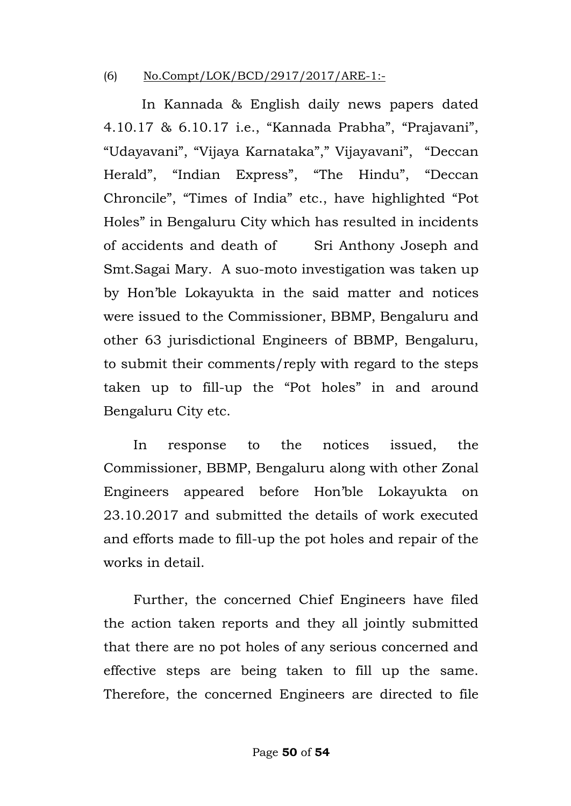#### (6) No.Compt/LOK/BCD/2917/2017/ARE-1:-

 In Kannada & English daily news papers dated 4.10.17 & 6.10.17 i.e., "Kannada Prabha", "Prajavani", "Udayavani", "Vijaya Karnataka"," Vijayavani", "Deccan Herald", "Indian Express", "The Hindu", "Deccan Chroncile", "Times of India" etc., have highlighted "Pot Holes" in Bengaluru City which has resulted in incidents of accidents and death of Sri Anthony Joseph and Smt.Sagai Mary. A suo-moto investigation was taken up by Hon"ble Lokayukta in the said matter and notices were issued to the Commissioner, BBMP, Bengaluru and other 63 jurisdictional Engineers of BBMP, Bengaluru, to submit their comments/reply with regard to the steps taken up to fill-up the "Pot holes" in and around Bengaluru City etc.

 In response to the notices issued, the Commissioner, BBMP, Bengaluru along with other Zonal Engineers appeared before Hon"ble Lokayukta on 23.10.2017 and submitted the details of work executed and efforts made to fill-up the pot holes and repair of the works in detail.

 Further, the concerned Chief Engineers have filed the action taken reports and they all jointly submitted that there are no pot holes of any serious concerned and effective steps are being taken to fill up the same. Therefore, the concerned Engineers are directed to file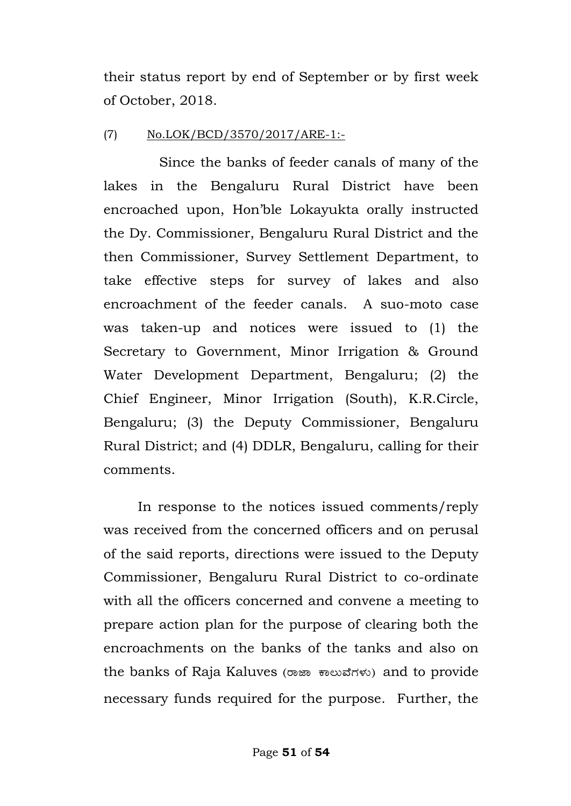their status report by end of September or by first week of October, 2018.

### (7) No.LOK/BCD/3570/2017/ARE-1:-

 Since the banks of feeder canals of many of the lakes in the Bengaluru Rural District have been encroached upon, Hon"ble Lokayukta orally instructed the Dy. Commissioner, Bengaluru Rural District and the then Commissioner, Survey Settlement Department, to take effective steps for survey of lakes and also encroachment of the feeder canals. A suo-moto case was taken-up and notices were issued to (1) the Secretary to Government, Minor Irrigation & Ground Water Development Department, Bengaluru; (2) the Chief Engineer, Minor Irrigation (South), K.R.Circle, Bengaluru; (3) the Deputy Commissioner, Bengaluru Rural District; and (4) DDLR, Bengaluru, calling for their comments.

In response to the notices issued comments/reply was received from the concerned officers and on perusal of the said reports, directions were issued to the Deputy Commissioner, Bengaluru Rural District to co-ordinate with all the officers concerned and convene a meeting to prepare action plan for the purpose of clearing both the encroachments on the banks of the tanks and also on the banks of Raja Kaluves (ರಾಜಾ ಕಾಲುವೆಗಳು) and to provide necessary funds required for the purpose. Further, the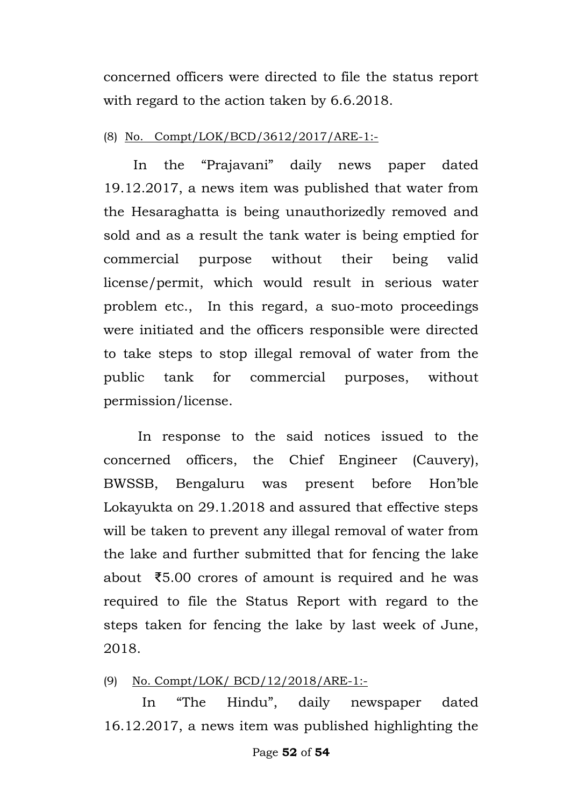concerned officers were directed to file the status report with regard to the action taken by 6.6.2018.

#### (8) No. Compt/LOK/BCD/3612/2017/ARE-1:-

 In the "Prajavani" daily news paper dated 19.12.2017, a news item was published that water from the Hesaraghatta is being unauthorizedly removed and sold and as a result the tank water is being emptied for commercial purpose without their being valid license/permit, which would result in serious water problem etc., In this regard, a suo-moto proceedings were initiated and the officers responsible were directed to take steps to stop illegal removal of water from the public tank for commercial purposes, without permission/license.

In response to the said notices issued to the concerned officers, the Chief Engineer (Cauvery), BWSSB, Bengaluru was present before Hon"ble Lokayukta on 29.1.2018 and assured that effective steps will be taken to prevent any illegal removal of water from the lake and further submitted that for fencing the lake about ₹5.00 crores of amount is required and he was required to file the Status Report with regard to the steps taken for fencing the lake by last week of June, 2018.

#### (9) No. Compt/LOK/ BCD/12/2018/ARE-1:-  $(9)$

In "The Hindu", daily newspaper dated 16.12.2017, a news item was published highlighting the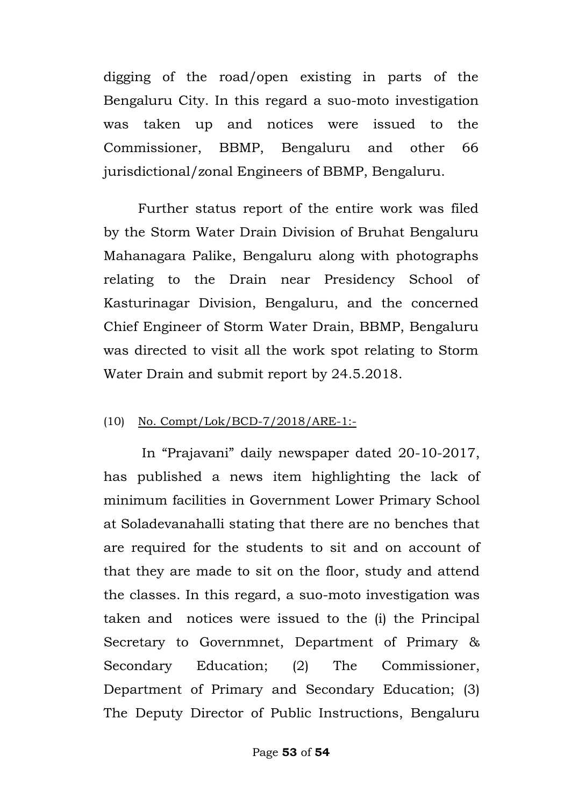digging of the road/open existing in parts of the Bengaluru City. In this regard a suo-moto investigation was taken up and notices were issued to the Commissioner, BBMP, Bengaluru and other 66 jurisdictional/zonal Engineers of BBMP, Bengaluru.

Further status report of the entire work was filed by the Storm Water Drain Division of Bruhat Bengaluru Mahanagara Palike, Bengaluru along with photographs relating to the Drain near Presidency School of Kasturinagar Division, Bengaluru, and the concerned Chief Engineer of Storm Water Drain, BBMP, Bengaluru was directed to visit all the work spot relating to Storm Water Drain and submit report by 24.5.2018.

#### (10) No. Compt/Lok/BCD-7/2018/ARE-1:-

 In "Prajavani" daily newspaper dated 20-10-2017, has published a news item highlighting the lack of minimum facilities in Government Lower Primary School at Soladevanahalli stating that there are no benches that are required for the students to sit and on account of that they are made to sit on the floor, study and attend the classes. In this regard, a suo-moto investigation was taken and notices were issued to the (i) the Principal Secretary to Governmnet, Department of Primary & Secondary Education; (2) The Commissioner, Department of Primary and Secondary Education; (3) The Deputy Director of Public Instructions, Bengaluru